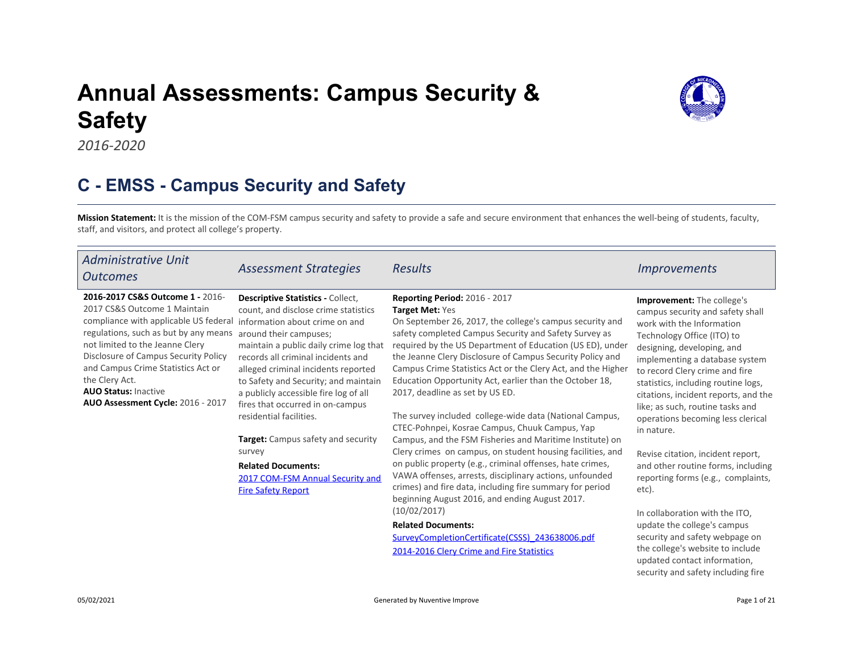# Annual Assessments: Campus Security & Safety



2016-2020

# C - EMSS - Campus Security and Safety

Mission Statement: It is the mission of the COM-FSM campus security and safety to provide a safe and secure enviro[nme](https://comfsm.tracdat.com:443/tracdat/viewDocument?y=QjFTl7mFknlB)[nt](https://comfsm.tracdat.com:443/tracdat/viewDocument?y=v33kdXkxvriA) that enhances the well-being of students, faculty, staff, and visitors, and protect all college's property.

| Administrative Unit<br><b>Outcomes</b>                                                                                                                                                                                                                                                                                                                    | <b>Assessment Strategies</b>                                                                                                                                                                                                                                                                                                                                                                                                                              | <b>Results</b>                                                                                                                                                                                                                                                                                                                                                                                                                                                                                                                                                                           | <i><u><b>Improvements</b></u></i>                                                                                                                                                                                                                                                                                                                                                                 |
|-----------------------------------------------------------------------------------------------------------------------------------------------------------------------------------------------------------------------------------------------------------------------------------------------------------------------------------------------------------|-----------------------------------------------------------------------------------------------------------------------------------------------------------------------------------------------------------------------------------------------------------------------------------------------------------------------------------------------------------------------------------------------------------------------------------------------------------|------------------------------------------------------------------------------------------------------------------------------------------------------------------------------------------------------------------------------------------------------------------------------------------------------------------------------------------------------------------------------------------------------------------------------------------------------------------------------------------------------------------------------------------------------------------------------------------|---------------------------------------------------------------------------------------------------------------------------------------------------------------------------------------------------------------------------------------------------------------------------------------------------------------------------------------------------------------------------------------------------|
| 2016-2017 CS&S Outcome 1 - 2016-<br>2017 CS&S Outcome 1 Maintain<br>compliance with applicable US federal<br>regulations, such as but by any means<br>not limited to the Jeanne Clery<br>Disclosure of Campus Security Policy<br>and Campus Crime Statistics Act or<br>the Clery Act.<br><b>AUO Status: Inactive</b><br>AUO Assessment Cycle: 2016 - 2017 | <b>Descriptive Statistics - Collect,</b><br>count, and disclose crime statistics<br>information about crime on and<br>around their campuses;<br>maintain a public daily crime log that<br>records all criminal incidents and<br>alleged criminal incidents reported<br>to Safety and Security; and maintain<br>a publicly accessible fire log of all<br>fires that occurred in on-campus<br>residential facilities.<br>Target: Campus safety and security | <b>Reporting Period: 2016 - 2017</b><br><b>Target Met: Yes</b><br>On September 26, 2017, the college's campus security and<br>safety completed Campus Security and Safety Survey as<br>required by the US Department of Education (US ED), under<br>the Jeanne Clery Disclosure of Campus Security Policy and<br>Campus Crime Statistics Act or the Clery Act, and the Higher<br>Education Opportunity Act, earlier than the October 18,<br>2017, deadline as set by US ED.<br>The survey included college-wide data (National Campus,<br>CTEC-Pohnpei, Kosrae Campus, Chuuk Campus, Yap | Improvement: The college's<br>campus security and safety shall<br>work with the Information<br>Technology Office (ITO) to<br>designing, developing, and<br>implementing a database system<br>to record Clery crime and fire<br>statistics, including routine logs,<br>citations, incident reports, and the<br>like; as such, routine tasks and<br>operations becoming less clerical<br>in nature. |
|                                                                                                                                                                                                                                                                                                                                                           | survey<br><b>Related Documents:</b><br>2017 COM-FSM Annual Security and<br><b>Fire Safety Report</b>                                                                                                                                                                                                                                                                                                                                                      | Campus, and the FSM Fisheries and Maritime Institute) on<br>Clery crimes on campus, on student housing facilities, and<br>on public property (e.g., criminal offenses, hate crimes,<br>VAWA offenses, arrests, disciplinary actions, unfounded<br>crimes) and fire data, including fire summary for period<br>beginning August 2016, and ending August 2017.<br>(10/02/2017)<br><b>Related Documents:</b><br>SurveyCompletionCertificate(CSSS)_243638006.pdf<br>2014-2016 Clery Crime and Fire Statistics                                                                                | Revise citation, incident report,<br>and other routine forms, including<br>reporting forms (e.g., complaints,<br>etc).<br>In collaboration with the ITO,<br>update the college's campus<br>security and safety webpage on<br>the college's website to include<br>updated contact information,                                                                                                     |

security and safety including fire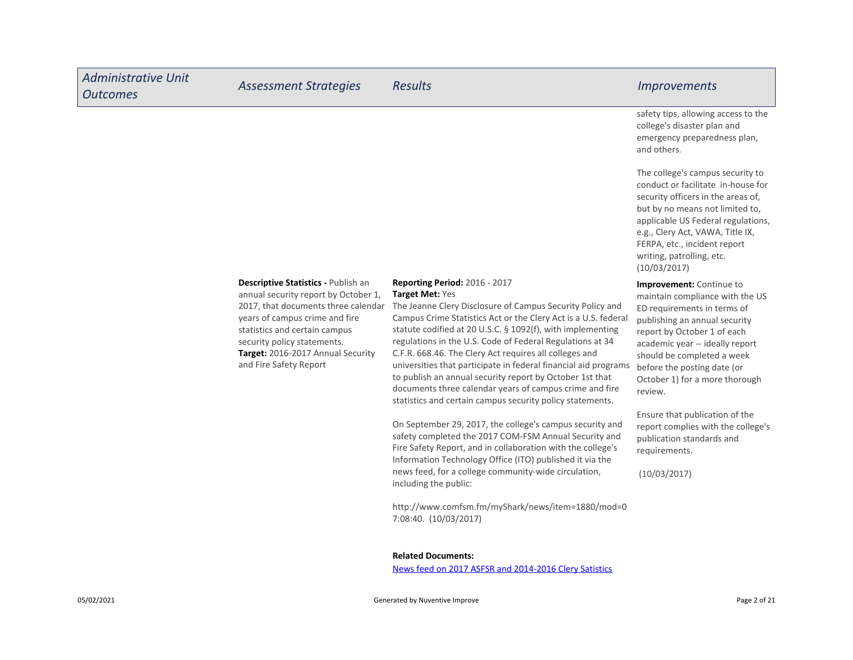| <b>Administrative Unit</b><br><b>Outcomes</b> | <b>Assessment Strategies</b>                                                                                                                                                                                                                                                        | <b>Results</b>                                                                                                                                                                                                                                                                                                                                                                                                                                                                                                                                                        | <i><u><b>Improvements</b></u></i>                                                                                                                                                                                                                                                                              |
|-----------------------------------------------|-------------------------------------------------------------------------------------------------------------------------------------------------------------------------------------------------------------------------------------------------------------------------------------|-----------------------------------------------------------------------------------------------------------------------------------------------------------------------------------------------------------------------------------------------------------------------------------------------------------------------------------------------------------------------------------------------------------------------------------------------------------------------------------------------------------------------------------------------------------------------|----------------------------------------------------------------------------------------------------------------------------------------------------------------------------------------------------------------------------------------------------------------------------------------------------------------|
|                                               |                                                                                                                                                                                                                                                                                     |                                                                                                                                                                                                                                                                                                                                                                                                                                                                                                                                                                       | safety tips, allowing access to the<br>college's disaster plan and<br>emergency preparedness plan,<br>and others.                                                                                                                                                                                              |
|                                               |                                                                                                                                                                                                                                                                                     |                                                                                                                                                                                                                                                                                                                                                                                                                                                                                                                                                                       | The college's campus security to<br>conduct or facilitate in-house for<br>security officers in the areas of,<br>but by no means not limited to,<br>applicable US Federal regulations,<br>e.g., Clery Act, VAWA, Title IX,<br>FERPA, etc., incident report<br>writing, patrolling, etc.<br>(10/03/2017)         |
|                                               | Descriptive Statistics - Publish an<br>annual security report by October 1,<br>2017, that documents three calendar<br>years of campus crime and fire<br>statistics and certain campus<br>security policy statements.<br>Target: 2016-2017 Annual Security<br>and Fire Safety Report | <b>Reporting Period: 2016 - 2017</b><br>Target Met: Yes<br>The Jeanne Clery Disclosure of Campus Security Policy and<br>Campus Crime Statistics Act or the Clery Act is a U.S. federal<br>statute codified at 20 U.S.C. § 1092(f), with implementing<br>regulations in the U.S. Code of Federal Regulations at 34<br>C.F.R. 668.46. The Clery Act requires all colleges and<br>universities that participate in federal financial aid programs<br>to publish an annual security report by October 1st that<br>documents three calendar years of campus crime and fire | <b>Improvement:</b> Continue to<br>maintain compliance with the US<br>ED requirements in terms of<br>publishing an annual security<br>report by October 1 of each<br>academic year -- ideally report<br>should be completed a week<br>before the posting date (or<br>October 1) for a more thorough<br>review. |

Ensure that publication of the report complies with the college's publication standards and requirements.

(10/03/2017)

Related Documents:

7:08:40. (10/03/2017)

including the public:

News feed on 2017 ASFSR and 2014-2016 Clery Satistics

statistics and certain campus security policy statements.

On September 29, 2017, the college's campus security and safety completed the 2017 COM-FSM Annual Security and Fire Safety Report, and in collaboration with the college's Information Technology Office (ITO) published it via the news feed, for a college community-wide circulation,

http://www.comfsm.fm/myShark/news/item=1880/mod=0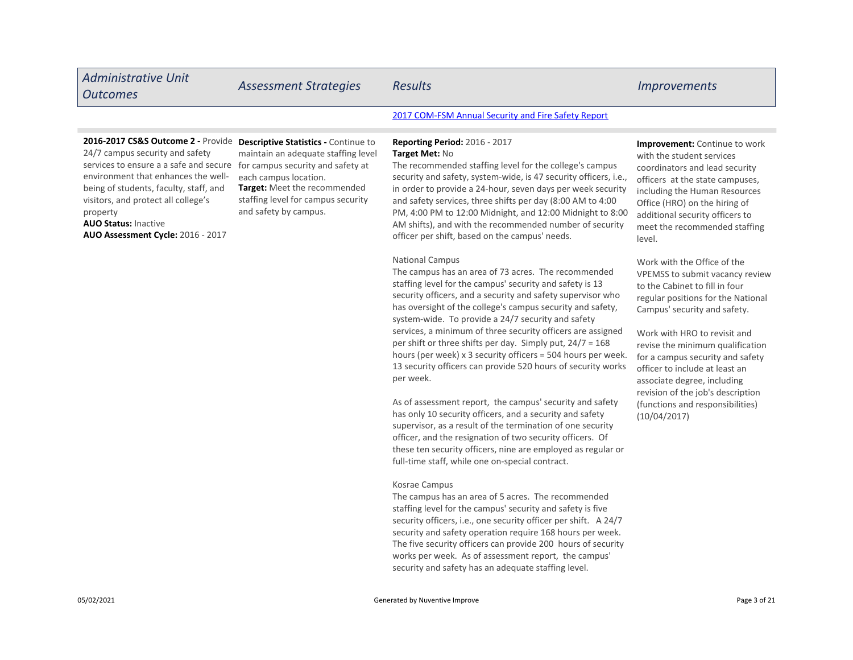| <b>Administrative Unit</b><br><b>Outcomes</b>                                                                                                                                                                                                                                                                           | <b>Assessment Strategies</b>                                                                                                                                                                                                                    | <b>Results</b>                                                                                                                                                                                                                                                                                                                                                                                                                                                                               | <i><u><b>Improvements</b></u></i>                                                                                                                                                                                                                                                      |
|-------------------------------------------------------------------------------------------------------------------------------------------------------------------------------------------------------------------------------------------------------------------------------------------------------------------------|-------------------------------------------------------------------------------------------------------------------------------------------------------------------------------------------------------------------------------------------------|----------------------------------------------------------------------------------------------------------------------------------------------------------------------------------------------------------------------------------------------------------------------------------------------------------------------------------------------------------------------------------------------------------------------------------------------------------------------------------------------|----------------------------------------------------------------------------------------------------------------------------------------------------------------------------------------------------------------------------------------------------------------------------------------|
|                                                                                                                                                                                                                                                                                                                         |                                                                                                                                                                                                                                                 | 2017 COM-FSM Annual Security and Fire Safety Report                                                                                                                                                                                                                                                                                                                                                                                                                                          |                                                                                                                                                                                                                                                                                        |
| 2016-2017 CS&S Outcome 2 - Provide<br>24/7 campus security and safety<br>services to ensure a a safe and secure<br>environment that enhances the well-<br>being of students, faculty, staff, and<br>visitors, and protect all college's<br>property<br><b>AUO Status: Inactive</b><br>AUO Assessment Cycle: 2016 - 2017 | <b>Descriptive Statistics - Continue to</b><br>maintain an adequate staffing level<br>for campus security and safety at<br>each campus location.<br>Target: Meet the recommended<br>staffing level for campus security<br>and safety by campus. | <b>Reporting Period: 2016 - 2017</b><br>Target Met: No<br>The recommended staffing level for the college's campus<br>security and safety, system-wide, is 47 security officers, i.e.,<br>in order to provide a 24-hour, seven days per week security<br>and safety services, three shifts per day (8:00 AM to 4:00<br>PM, 4:00 PM to 12:00 Midnight, and 12:00 Midnight to 8:00<br>AM shifts), and with the recommended number of security<br>officer per shift, based on the campus' needs. | <b>Improvement:</b> Continue to work<br>with the student services<br>coordinators and lead security<br>officers at the state campuses,<br>including the Human Resources<br>Office (HRO) on the hiring of<br>additional security officers to<br>meet the recommended staffing<br>level. |

National Campus

The campus has an area of 73 acres. The recommended staffing level for the campus' security and safety is 13 security officers, and a security and safety supervisor who has oversight of the college's campus security and safety, system-wide. To provide a 24/7 security and safety services, a minimum of three security officers are assigned per shift or three shifts per day. Simply put, 24/7 = 168 hours (per week) x 3 security officers = 504 hours per week. 13 security officers can provide 520 hours of security works per week.

As of assessment report, the campus' security and safety has only 10 security officers, and a security and safety supervisor, as a result of the termination of one security officer, and the resignation of two security officers. Of these ten security officers, nine are employed as regular or full-time staff, while one on-special contract.

#### Kosrae Campus

The campus has an area of 5 acres. The recommended staffing level for the campus' security and safety is five security officers, i.e., one security officer per shift. A 24/7 security and safety operation require 168 hours per week. The five security officers can provide 200 hours of security works per week. As of assessment report, the campus' security and safety has an adequate staffing level.

# Work with the Office of the VPEMSS to submit vacancy review to the Cabinet to fill in four regular positions for the National Campus' security and safety.

Work with HRO to revisit and revise the minimum qualification for a campus security and safety officer to include at least an associate degree, including revision of the job's description (functions and responsibilities) (10/04/2017)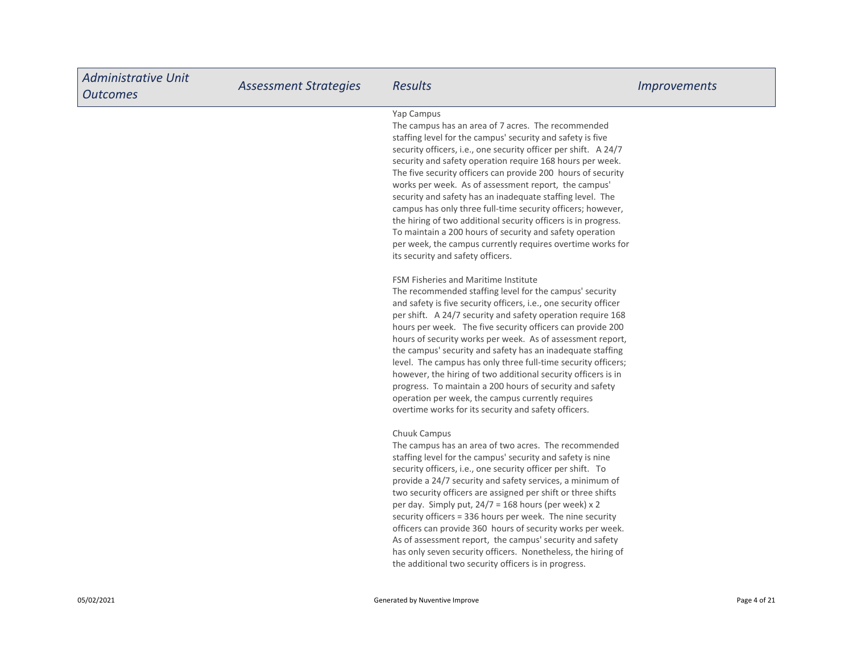| <b>Administrative Unit</b><br><b>Outcomes</b> | <b>Assessment Strategies</b> | <b>Results</b>                                                                                                                                                                                                                                                                                                                                                                                                                                                                                                                                                                                                                                                                                                                                                                                                                                                                                                                                                                                                                                                                                                                                                                                                                                                                                                                                                                                                                                                                                 | <b>Improvements</b> |
|-----------------------------------------------|------------------------------|------------------------------------------------------------------------------------------------------------------------------------------------------------------------------------------------------------------------------------------------------------------------------------------------------------------------------------------------------------------------------------------------------------------------------------------------------------------------------------------------------------------------------------------------------------------------------------------------------------------------------------------------------------------------------------------------------------------------------------------------------------------------------------------------------------------------------------------------------------------------------------------------------------------------------------------------------------------------------------------------------------------------------------------------------------------------------------------------------------------------------------------------------------------------------------------------------------------------------------------------------------------------------------------------------------------------------------------------------------------------------------------------------------------------------------------------------------------------------------------------|---------------------|
|                                               |                              | Yap Campus<br>The campus has an area of 7 acres. The recommended<br>staffing level for the campus' security and safety is five<br>security officers, i.e., one security officer per shift. A 24/7<br>security and safety operation require 168 hours per week.<br>The five security officers can provide 200 hours of security<br>works per week. As of assessment report, the campus'<br>security and safety has an inadequate staffing level. The<br>campus has only three full-time security officers; however,<br>the hiring of two additional security officers is in progress.<br>To maintain a 200 hours of security and safety operation<br>per week, the campus currently requires overtime works for<br>its security and safety officers.<br>FSM Fisheries and Maritime Institute<br>The recommended staffing level for the campus' security<br>and safety is five security officers, i.e., one security officer<br>per shift. A 24/7 security and safety operation require 168<br>hours per week. The five security officers can provide 200<br>hours of security works per week. As of assessment report,<br>the campus' security and safety has an inadequate staffing<br>level. The campus has only three full-time security officers;<br>however, the hiring of two additional security officers is in<br>progress. To maintain a 200 hours of security and safety<br>operation per week, the campus currently requires<br>overtime works for its security and safety officers. |                     |
|                                               |                              | Chuuk Campus<br>The campus has an area of two acres. The recommended<br>staffing level for the campus' security and safety is nine<br>security officers, i.e., one security officer per shift. To<br>provide a 24/7 security and safety services, a minimum of<br>two security officers are assigned per shift or three shifts<br>per day. Simply put, 24/7 = 168 hours (per week) x 2<br>security officers = 336 hours per week. The nine security<br>officers can provide 360 hours of security works per week.<br>As of assessment report, the campus' security and safety<br>has only seven security officers. Nonetheless, the hiring of<br>the additional two security officers is in progress.                                                                                                                                                                                                                                                                                                                                                                                                                                                                                                                                                                                                                                                                                                                                                                                          |                     |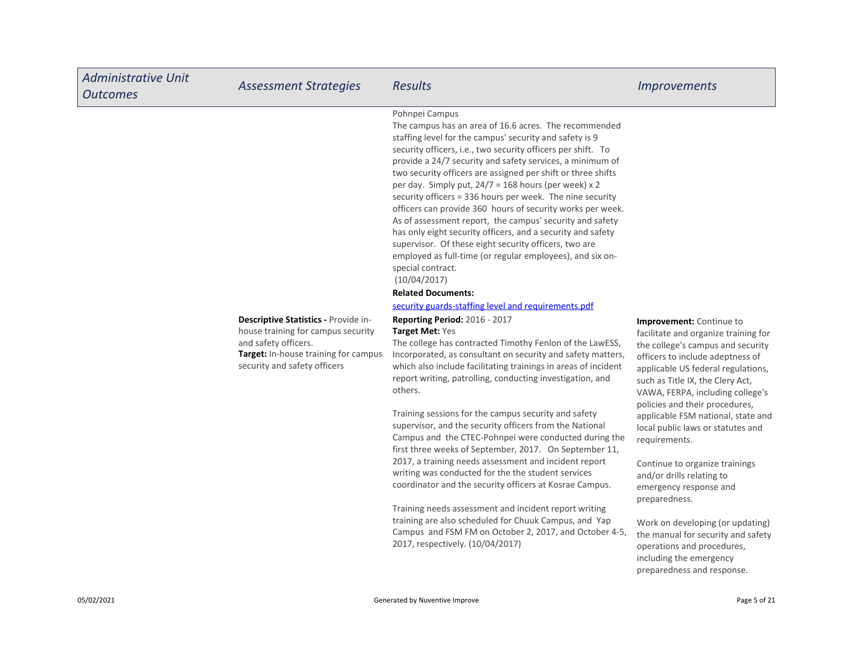| <b>Administrative Unit</b><br><b>Outcomes</b> | <b>Assessment Strategies</b>                                                                                                                                               | <b>Results</b>                                                                                                                                                                                                                                                                                                                                                                                                                                                                                                                                                                                                                                                                                                                                                                                                                                                                                                                                                                                                                                                                                                                                                                                                                                                                                                                                                                                                                                                                                                                                                                                                                                                                                                                                                                                                                                               | <i><u><b>Improvements</b></u></i>                                                                                                                                                                                                                                                                                                                                                                                                                                                                                                                                                                                                                                |
|-----------------------------------------------|----------------------------------------------------------------------------------------------------------------------------------------------------------------------------|--------------------------------------------------------------------------------------------------------------------------------------------------------------------------------------------------------------------------------------------------------------------------------------------------------------------------------------------------------------------------------------------------------------------------------------------------------------------------------------------------------------------------------------------------------------------------------------------------------------------------------------------------------------------------------------------------------------------------------------------------------------------------------------------------------------------------------------------------------------------------------------------------------------------------------------------------------------------------------------------------------------------------------------------------------------------------------------------------------------------------------------------------------------------------------------------------------------------------------------------------------------------------------------------------------------------------------------------------------------------------------------------------------------------------------------------------------------------------------------------------------------------------------------------------------------------------------------------------------------------------------------------------------------------------------------------------------------------------------------------------------------------------------------------------------------------------------------------------------------|------------------------------------------------------------------------------------------------------------------------------------------------------------------------------------------------------------------------------------------------------------------------------------------------------------------------------------------------------------------------------------------------------------------------------------------------------------------------------------------------------------------------------------------------------------------------------------------------------------------------------------------------------------------|
|                                               | Descriptive Statistics - Provide in-<br>house training for campus security<br>and safety officers.<br>Target: In-house training for campus<br>security and safety officers | Pohnpei Campus<br>The campus has an area of 16.6 acres. The recommended<br>staffing level for the campus' security and safety is 9<br>security officers, i.e., two security officers per shift. To<br>provide a 24/7 security and safety services, a minimum of<br>two security officers are assigned per shift or three shifts<br>per day. Simply put, 24/7 = 168 hours (per week) x 2<br>security officers = 336 hours per week. The nine security<br>officers can provide 360 hours of security works per week.<br>As of assessment report, the campus' security and safety<br>has only eight security officers, and a security and safety<br>supervisor. Of these eight security officers, two are<br>employed as full-time (or regular employees), and six on-<br>special contract.<br>(10/04/2017)<br><b>Related Documents:</b><br>security guards-staffing level and requirements.pdf<br>Reporting Period: 2016 - 2017<br><b>Target Met: Yes</b><br>The college has contracted Timothy Fenlon of the LawESS,<br>Incorporated, as consultant on security and safety matters,<br>which also include facilitating trainings in areas of incident<br>report writing, patrolling, conducting investigation, and<br>others.<br>Training sessions for the campus security and safety<br>supervisor, and the security officers from the National<br>Campus and the CTEC-Pohnpei were conducted during the<br>first three weeks of September, 2017. On September 11,<br>2017, a training needs assessment and incident report<br>writing was conducted for the the student services<br>coordinator and the security officers at Kosrae Campus.<br>Training needs assessment and incident report writing<br>training are also scheduled for Chuuk Campus, and Yap<br>Campus and FSM FM on October 2, 2017, and October 4-5,<br>2017, respectively. (10/04/2017) | Improvement: Continue to<br>facilitate and organize training for<br>the college's campus and security<br>officers to include adeptness of<br>applicable US federal regulations,<br>such as Title IX, the Clery Act,<br>VAWA, FERPA, including college's<br>policies and their procedures,<br>applicable FSM national, state and<br>local public laws or statutes and<br>requirements.<br>Continue to organize trainings<br>and/or drills relating to<br>emergency response and<br>preparedness.<br>Work on developing (or updating)<br>the manual for security and safety<br>operations and procedures,<br>including the emergency<br>preparedness and response. |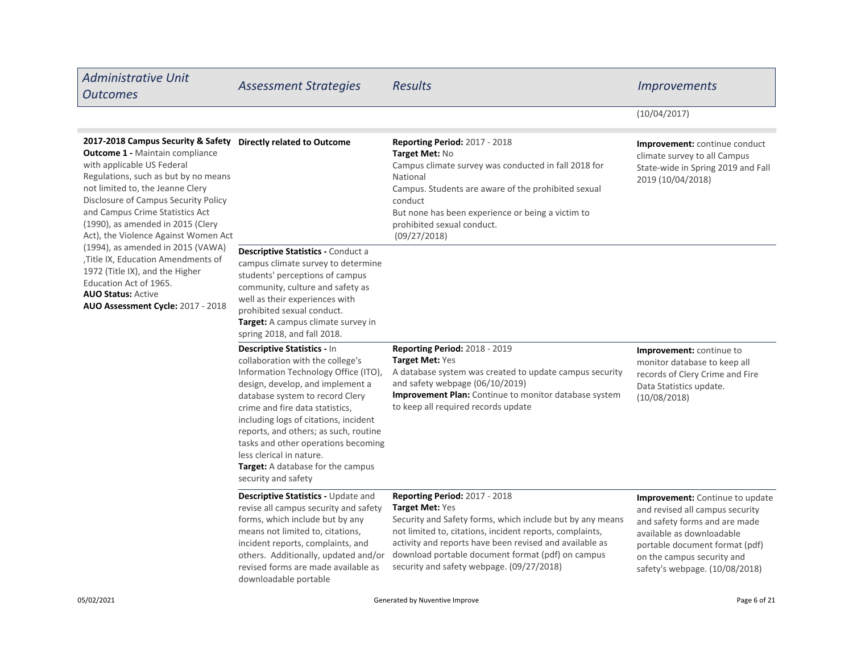| <b>Administrative Unit</b><br><b>Outcomes</b>                                                                                                                                                                                                                                                                                                                                                                                                                                                                                                                                         | <b>Assessment Strategies</b>                                                                                                                                                                                                                                                                                                                                                                                                       | <b>Results</b>                                                                                                                                                                                                                                                                                                                         | <b>Improvements</b>                                                                                                                                                                                                                       |
|---------------------------------------------------------------------------------------------------------------------------------------------------------------------------------------------------------------------------------------------------------------------------------------------------------------------------------------------------------------------------------------------------------------------------------------------------------------------------------------------------------------------------------------------------------------------------------------|------------------------------------------------------------------------------------------------------------------------------------------------------------------------------------------------------------------------------------------------------------------------------------------------------------------------------------------------------------------------------------------------------------------------------------|----------------------------------------------------------------------------------------------------------------------------------------------------------------------------------------------------------------------------------------------------------------------------------------------------------------------------------------|-------------------------------------------------------------------------------------------------------------------------------------------------------------------------------------------------------------------------------------------|
|                                                                                                                                                                                                                                                                                                                                                                                                                                                                                                                                                                                       |                                                                                                                                                                                                                                                                                                                                                                                                                                    |                                                                                                                                                                                                                                                                                                                                        | (10/04/2017)                                                                                                                                                                                                                              |
| 2017-2018 Campus Security & Safety Directly related to Outcome<br><b>Outcome 1 - Maintain compliance</b><br>with applicable US Federal<br>Regulations, such as but by no means<br>not limited to, the Jeanne Clery<br>Disclosure of Campus Security Policy<br>and Campus Crime Statistics Act<br>(1990), as amended in 2015 (Clery<br>Act), the Violence Against Women Act<br>(1994), as amended in 2015 (VAWA)<br>, Title IX, Education Amendments of<br>1972 (Title IX), and the Higher<br>Education Act of 1965.<br><b>AUO Status: Active</b><br>AUO Assessment Cycle: 2017 - 2018 |                                                                                                                                                                                                                                                                                                                                                                                                                                    | <b>Reporting Period: 2017 - 2018</b><br>Target Met: No<br>Campus climate survey was conducted in fall 2018 for<br>National<br>Campus. Students are aware of the prohibited sexual<br>conduct<br>But none has been experience or being a victim to<br>prohibited sexual conduct.<br>(09/27/2018)                                        | Improvement: continue conduct<br>climate survey to all Campus<br>State-wide in Spring 2019 and Fall<br>2019 (10/04/2018)                                                                                                                  |
|                                                                                                                                                                                                                                                                                                                                                                                                                                                                                                                                                                                       | Descriptive Statistics - Conduct a<br>campus climate survey to determine<br>students' perceptions of campus<br>community, culture and safety as<br>well as their experiences with<br>prohibited sexual conduct.<br>Target: A campus climate survey in<br>spring 2018, and fall 2018.                                                                                                                                               |                                                                                                                                                                                                                                                                                                                                        |                                                                                                                                                                                                                                           |
|                                                                                                                                                                                                                                                                                                                                                                                                                                                                                                                                                                                       | Descriptive Statistics - In<br>collaboration with the college's<br>Information Technology Office (ITO),<br>design, develop, and implement a<br>database system to record Clery<br>crime and fire data statistics,<br>including logs of citations, incident<br>reports, and others; as such, routine<br>tasks and other operations becoming<br>less clerical in nature.<br>Target: A database for the campus<br>security and safety | <b>Reporting Period: 2018 - 2019</b><br>Target Met: Yes<br>A database system was created to update campus security<br>and safety webpage (06/10/2019)<br><b>Improvement Plan:</b> Continue to monitor database system<br>to keep all required records update                                                                           | Improvement: continue to<br>monitor database to keep all<br>records of Clery Crime and Fire<br>Data Statistics update.<br>(10/08/2018)                                                                                                    |
|                                                                                                                                                                                                                                                                                                                                                                                                                                                                                                                                                                                       | Descriptive Statistics - Update and<br>revise all campus security and safety<br>forms, which include but by any<br>means not limited to, citations,<br>incident reports, complaints, and<br>others. Additionally, updated and/or<br>revised forms are made available as<br>downloadable portable                                                                                                                                   | Reporting Period: 2017 - 2018<br>Target Met: Yes<br>Security and Safety forms, which include but by any means<br>not limited to, citations, incident reports, complaints,<br>activity and reports have been revised and available as<br>download portable document format (pdf) on campus<br>security and safety webpage. (09/27/2018) | <b>Improvement:</b> Continue to update<br>and revised all campus security<br>and safety forms and are made<br>available as downloadable<br>portable document format (pdf)<br>on the campus security and<br>safety's webpage. (10/08/2018) |
| 05/02/2021                                                                                                                                                                                                                                                                                                                                                                                                                                                                                                                                                                            |                                                                                                                                                                                                                                                                                                                                                                                                                                    | Generated by Nuventive Improve                                                                                                                                                                                                                                                                                                         | Page 6 of 21                                                                                                                                                                                                                              |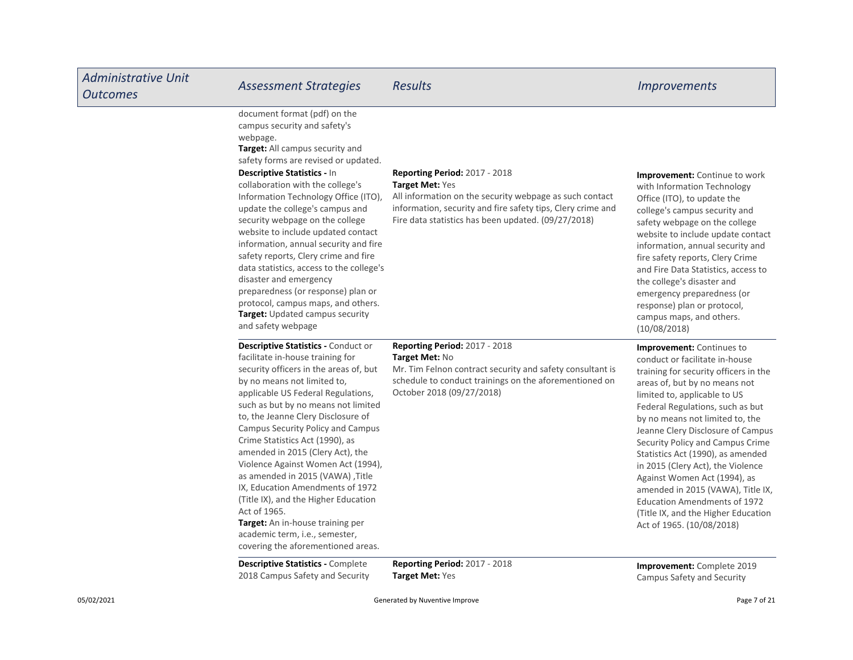| <b>Administrative Unit</b><br><b>Outcomes</b> | <b>Assessment Strategies</b>                                                                                                                                                                                                                                                                                                                                                                                                                                                                                                                                                                                                                                             | <b>Results</b>                                                                                                                                                                                                                                  | <i><u><b>Improvements</b></u></i>                                                                                                                                                                                                                                                                                                                                                                                                                                                                                                                                                      |
|-----------------------------------------------|--------------------------------------------------------------------------------------------------------------------------------------------------------------------------------------------------------------------------------------------------------------------------------------------------------------------------------------------------------------------------------------------------------------------------------------------------------------------------------------------------------------------------------------------------------------------------------------------------------------------------------------------------------------------------|-------------------------------------------------------------------------------------------------------------------------------------------------------------------------------------------------------------------------------------------------|----------------------------------------------------------------------------------------------------------------------------------------------------------------------------------------------------------------------------------------------------------------------------------------------------------------------------------------------------------------------------------------------------------------------------------------------------------------------------------------------------------------------------------------------------------------------------------------|
|                                               | document format (pdf) on the<br>campus security and safety's<br>webpage.<br>Target: All campus security and<br>safety forms are revised or updated.<br>Descriptive Statistics - In<br>collaboration with the college's<br>Information Technology Office (ITO),<br>update the college's campus and<br>security webpage on the college<br>website to include updated contact<br>information, annual security and fire<br>safety reports, Clery crime and fire<br>data statistics, access to the college's<br>disaster and emergency<br>preparedness (or response) plan or<br>protocol, campus maps, and others.<br>Target: Updated campus security<br>and safety webpage   | <b>Reporting Period: 2017 - 2018</b><br><b>Target Met: Yes</b><br>All information on the security webpage as such contact<br>information, security and fire safety tips, Clery crime and<br>Fire data statistics has been updated. (09/27/2018) | <b>Improvement:</b> Continue to work<br>with Information Technology<br>Office (ITO), to update the<br>college's campus security and<br>safety webpage on the college<br>website to include update contact<br>information, annual security and<br>fire safety reports, Clery Crime<br>and Fire Data Statistics, access to<br>the college's disaster and<br>emergency preparedness (or<br>response) plan or protocol,<br>campus maps, and others.<br>(10/08/2018)                                                                                                                        |
|                                               | <b>Descriptive Statistics - Conduct or</b><br>facilitate in-house training for<br>security officers in the areas of, but<br>by no means not limited to,<br>applicable US Federal Regulations,<br>such as but by no means not limited<br>to, the Jeanne Clery Disclosure of<br>Campus Security Policy and Campus<br>Crime Statistics Act (1990), as<br>amended in 2015 (Clery Act), the<br>Violence Against Women Act (1994),<br>as amended in 2015 (VAWA), Title<br>IX, Education Amendments of 1972<br>(Title IX), and the Higher Education<br>Act of 1965.<br>Target: An in-house training per<br>academic term, i.e., semester,<br>covering the aforementioned areas. | <b>Reporting Period: 2017 - 2018</b><br>Target Met: No<br>Mr. Tim Felnon contract security and safety consultant is<br>schedule to conduct trainings on the aforementioned on<br>October 2018 (09/27/2018)                                      | <b>Improvement:</b> Continues to<br>conduct or facilitate in-house<br>training for security officers in the<br>areas of, but by no means not<br>limited to, applicable to US<br>Federal Regulations, such as but<br>by no means not limited to, the<br>Jeanne Clery Disclosure of Campus<br>Security Policy and Campus Crime<br>Statistics Act (1990), as amended<br>in 2015 (Clery Act), the Violence<br>Against Women Act (1994), as<br>amended in 2015 (VAWA), Title IX,<br><b>Education Amendments of 1972</b><br>(Title IX, and the Higher Education<br>Act of 1965. (10/08/2018) |
|                                               | <b>Descriptive Statistics - Complete</b><br>2018 Campus Safety and Security                                                                                                                                                                                                                                                                                                                                                                                                                                                                                                                                                                                              | <b>Reporting Period: 2017 - 2018</b><br><b>Target Met: Yes</b>                                                                                                                                                                                  | <b>Improvement:</b> Complete 2019<br>Campus Safety and Security                                                                                                                                                                                                                                                                                                                                                                                                                                                                                                                        |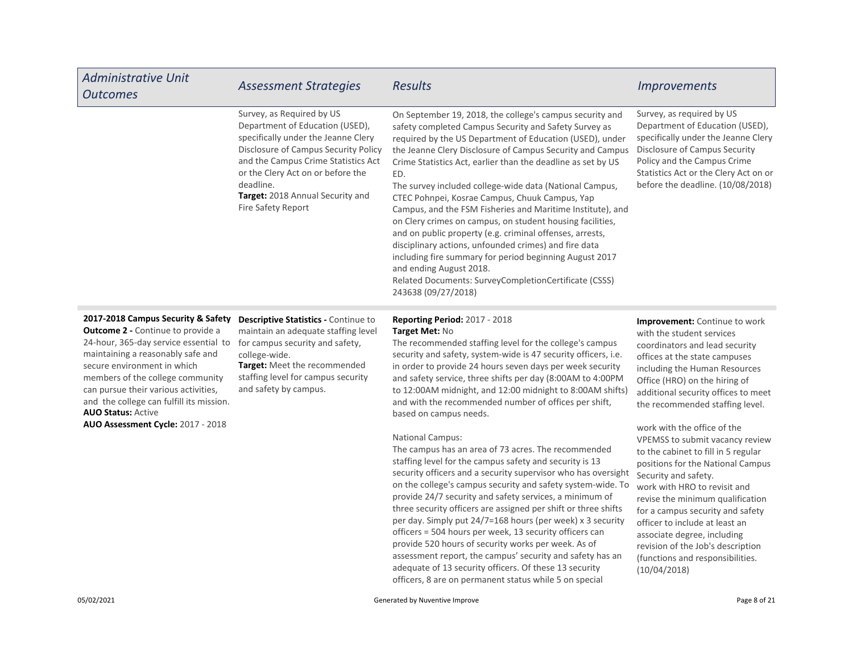| <b>Administrative Unit</b><br><b>Outcomes</b>                                                                                                                                                                                                                                                                                                                                         | <b>Assessment Strategies</b>                                                                                                                                                                                                                                                                   | <b>Results</b>                                                                                                                                                                                                                                                                                                                                                                                                                                                                                                                                                                                                                                                                                                                                                                                                                                       | <i>Improvements</i>                                                                                                                                                                                                                                                                                                                                                                                                     |
|---------------------------------------------------------------------------------------------------------------------------------------------------------------------------------------------------------------------------------------------------------------------------------------------------------------------------------------------------------------------------------------|------------------------------------------------------------------------------------------------------------------------------------------------------------------------------------------------------------------------------------------------------------------------------------------------|------------------------------------------------------------------------------------------------------------------------------------------------------------------------------------------------------------------------------------------------------------------------------------------------------------------------------------------------------------------------------------------------------------------------------------------------------------------------------------------------------------------------------------------------------------------------------------------------------------------------------------------------------------------------------------------------------------------------------------------------------------------------------------------------------------------------------------------------------|-------------------------------------------------------------------------------------------------------------------------------------------------------------------------------------------------------------------------------------------------------------------------------------------------------------------------------------------------------------------------------------------------------------------------|
|                                                                                                                                                                                                                                                                                                                                                                                       | Survey, as Required by US<br>Department of Education (USED),<br>specifically under the Jeanne Clery<br>Disclosure of Campus Security Policy<br>and the Campus Crime Statistics Act<br>or the Clery Act on or before the<br>deadline.<br>Target: 2018 Annual Security and<br>Fire Safety Report | On September 19, 2018, the college's campus security and<br>safety completed Campus Security and Safety Survey as<br>required by the US Department of Education (USED), under<br>the Jeanne Clery Disclosure of Campus Security and Campus<br>Crime Statistics Act, earlier than the deadline as set by US<br>ED.<br>The survey included college-wide data (National Campus,<br>CTEC Pohnpei, Kosrae Campus, Chuuk Campus, Yap<br>Campus, and the FSM Fisheries and Maritime Institute), and<br>on Clery crimes on campus, on student housing facilities,<br>and on public property (e.g. criminal offenses, arrests,<br>disciplinary actions, unfounded crimes) and fire data<br>including fire summary for period beginning August 2017<br>and ending August 2018.<br>Related Documents: SurveyCompletionCertificate (CSSS)<br>243638 (09/27/2018) | Survey, as required by US<br>Department of Education (USED),<br>specifically under the Jeanne Clery<br>Disclosure of Campus Security<br>Policy and the Campus Crime<br>Statistics Act or the Clery Act on or<br>before the deadline. (10/08/2018)                                                                                                                                                                       |
| 2017-2018 Campus Security & Safety<br><b>Outcome 2 - Continue to provide a</b><br>24-hour, 365-day service essential to<br>maintaining a reasonably safe and<br>secure environment in which<br>members of the college community<br>can pursue their various activities,<br>and the college can fulfill its mission.<br><b>AUO Status: Active</b><br>AUO Assessment Cycle: 2017 - 2018 | Descriptive Statistics - Continue to<br>maintain an adequate staffing level<br>for campus security and safety,<br>college-wide.<br>Target: Meet the recommended<br>staffing level for campus security<br>and safety by campus.                                                                 | <b>Reporting Period: 2017 - 2018</b><br>Target Met: No<br>The recommended staffing level for the college's campus<br>security and safety, system-wide is 47 security officers, i.e.<br>in order to provide 24 hours seven days per week security<br>and safety service, three shifts per day (8:00AM to 4:00PM<br>to 12:00AM midnight, and 12:00 midnight to 8:00AM shifts)<br>and with the recommended number of offices per shift,<br>based on campus needs.<br><b>National Campus:</b><br>The campus has an area of 73 acres. The recommended<br>staffing level for the campus safety and security is 13                                                                                                                                                                                                                                          | Improvement: Continue to work<br>with the student services<br>coordinators and lead security<br>offices at the state campuses<br>including the Human Resources<br>Office (HRO) on the hiring of<br>additional security offices to meet<br>the recommended staffing level.<br>work with the office of the<br>VPEMSS to submit vacancy review<br>to the cabinet to fill in 5 regular<br>positions for the National Campus |

security officers and a security supervisor who has oversight on the college's campus security and safety system-wide. To provide 24/7 security and safety services, a minimum of three security officers are assigned per shift or three shifts per day. Simply put 24/7=168 hours (per week) x 3 security officers = 504 hours per week, 13 security officers can provide 520 hours of security works per week. As of assessment report, the campus' security and safety has an adequate of 13 security officers. Of these 13 security officers, 8 are on permanent status while 5 on special

Security and safety.

(10/04/2018)

work with HRO to revisit and revise the minimum qualification for a campus security and safety officer to include at least an associate degree, including revision of the Job's description (functions and responsibilities.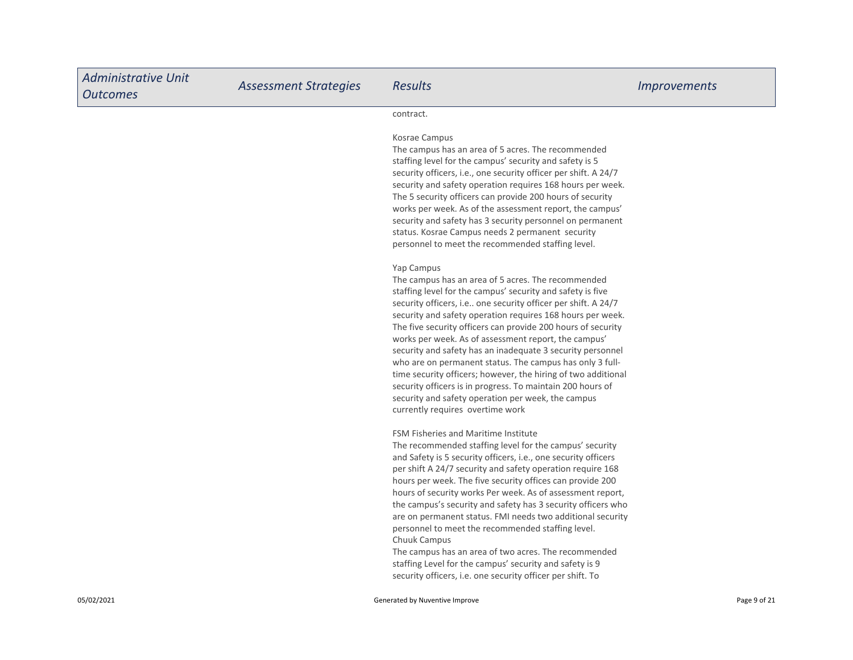| <b>Administrative Unit</b><br><b>Outcomes</b> | <b>Assessment Strategies</b> | <b>Results</b>                                                                                                                                                                                                                                                                                                                                                                                                                                                                                                                                                                                                                                                                                                                                        | <i><u><b>Improvements</b></u></i> |
|-----------------------------------------------|------------------------------|-------------------------------------------------------------------------------------------------------------------------------------------------------------------------------------------------------------------------------------------------------------------------------------------------------------------------------------------------------------------------------------------------------------------------------------------------------------------------------------------------------------------------------------------------------------------------------------------------------------------------------------------------------------------------------------------------------------------------------------------------------|-----------------------------------|
|                                               |                              | contract.                                                                                                                                                                                                                                                                                                                                                                                                                                                                                                                                                                                                                                                                                                                                             |                                   |
|                                               |                              | Kosrae Campus<br>The campus has an area of 5 acres. The recommended<br>staffing level for the campus' security and safety is 5<br>security officers, i.e., one security officer per shift. A 24/7<br>security and safety operation requires 168 hours per week.<br>The 5 security officers can provide 200 hours of security<br>works per week. As of the assessment report, the campus'<br>security and safety has 3 security personnel on permanent<br>status. Kosrae Campus needs 2 permanent security<br>personnel to meet the recommended staffing level.                                                                                                                                                                                        |                                   |
|                                               |                              | Yap Campus<br>The campus has an area of 5 acres. The recommended<br>staffing level for the campus' security and safety is five<br>security officers, i.e one security officer per shift. A 24/7<br>security and safety operation requires 168 hours per week.<br>The five security officers can provide 200 hours of security<br>works per week. As of assessment report, the campus'<br>security and safety has an inadequate 3 security personnel<br>who are on permanent status. The campus has only 3 full-<br>time security officers; however, the hiring of two additional<br>security officers is in progress. To maintain 200 hours of<br>security and safety operation per week, the campus<br>currently requires overtime work              |                                   |
|                                               |                              | <b>FSM Fisheries and Maritime Institute</b><br>The recommended staffing level for the campus' security<br>and Safety is 5 security officers, i.e., one security officers<br>per shift A 24/7 security and safety operation require 168<br>hours per week. The five security offices can provide 200<br>hours of security works Per week. As of assessment report,<br>the campus's security and safety has 3 security officers who<br>are on permanent status. FMI needs two additional security<br>personnel to meet the recommended staffing level.<br>Chuuk Campus<br>The campus has an area of two acres. The recommended<br>staffing Level for the campus' security and safety is 9<br>security officers, i.e. one security officer per shift. To |                                   |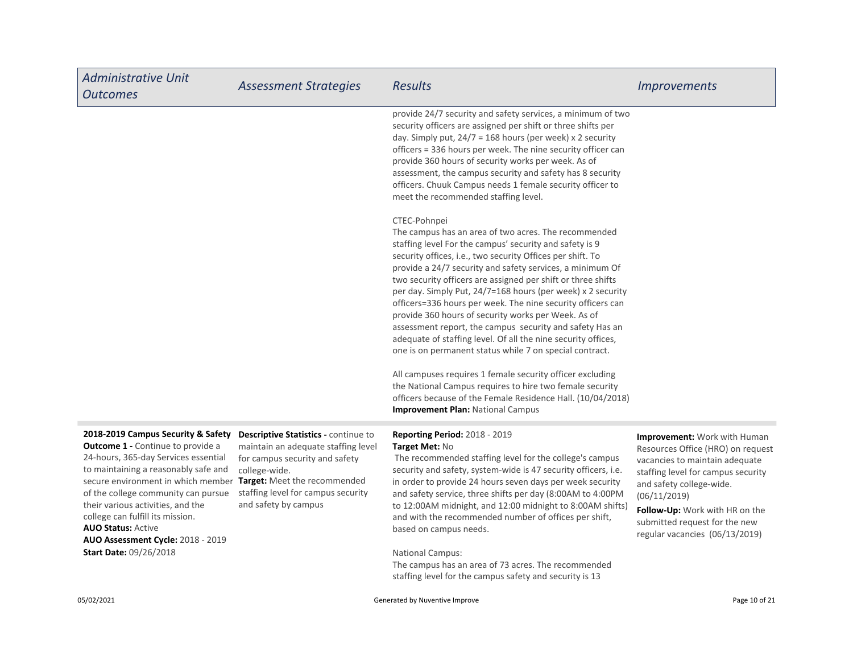| <b>Administrative Unit</b><br><b>Outcomes</b>                                                                                                                                                                                                                                                                                                                                                                       | <b>Assessment Strategies</b>                                                                                                                                                                 | <b>Results</b>                                                                                                                                                                                                                                                                                                                                                                                                                                                                                                                                                                                                                                                                                                                                                                                                                                                                                                                              | <i><u><b>Improvements</b></u></i>                                                                                                                                                                                                                                                                 |
|---------------------------------------------------------------------------------------------------------------------------------------------------------------------------------------------------------------------------------------------------------------------------------------------------------------------------------------------------------------------------------------------------------------------|----------------------------------------------------------------------------------------------------------------------------------------------------------------------------------------------|---------------------------------------------------------------------------------------------------------------------------------------------------------------------------------------------------------------------------------------------------------------------------------------------------------------------------------------------------------------------------------------------------------------------------------------------------------------------------------------------------------------------------------------------------------------------------------------------------------------------------------------------------------------------------------------------------------------------------------------------------------------------------------------------------------------------------------------------------------------------------------------------------------------------------------------------|---------------------------------------------------------------------------------------------------------------------------------------------------------------------------------------------------------------------------------------------------------------------------------------------------|
|                                                                                                                                                                                                                                                                                                                                                                                                                     |                                                                                                                                                                                              | provide 24/7 security and safety services, a minimum of two<br>security officers are assigned per shift or three shifts per<br>day. Simply put, $24/7 = 168$ hours (per week) x 2 security<br>officers = 336 hours per week. The nine security officer can<br>provide 360 hours of security works per week. As of<br>assessment, the campus security and safety has 8 security<br>officers. Chuuk Campus needs 1 female security officer to<br>meet the recommended staffing level.                                                                                                                                                                                                                                                                                                                                                                                                                                                         |                                                                                                                                                                                                                                                                                                   |
|                                                                                                                                                                                                                                                                                                                                                                                                                     |                                                                                                                                                                                              | CTEC-Pohnpei<br>The campus has an area of two acres. The recommended<br>staffing level For the campus' security and safety is 9<br>security offices, i.e., two security Offices per shift. To<br>provide a 24/7 security and safety services, a minimum Of<br>two security officers are assigned per shift or three shifts<br>per day. Simply Put, 24/7=168 hours (per week) x 2 security<br>officers=336 hours per week. The nine security officers can<br>provide 360 hours of security works per Week. As of<br>assessment report, the campus security and safety Has an<br>adequate of staffing level. Of all the nine security offices,<br>one is on permanent status while 7 on special contract.<br>All campuses requires 1 female security officer excluding<br>the National Campus requires to hire two female security<br>officers because of the Female Residence Hall. (10/04/2018)<br><b>Improvement Plan: National Campus</b> |                                                                                                                                                                                                                                                                                                   |
| 2018-2019 Campus Security & Safety<br><b>Outcome 1 - Continue to provide a</b><br>24-hours, 365-day Services essential<br>to maintaining a reasonably safe and<br>secure environment in which member Target: Meet the recommended<br>of the college community can pursue<br>their various activities, and the<br>college can fulfill its mission.<br><b>AUO Status: Active</b><br>AUO Assessment Cycle: 2018 - 2019 | Descriptive Statistics - continue to<br>maintain an adequate staffing level<br>for campus security and safety<br>college-wide.<br>staffing level for campus security<br>and safety by campus | <b>Reporting Period: 2018 - 2019</b><br>Target Met: No<br>The recommended staffing level for the college's campus<br>security and safety, system-wide is 47 security officers, i.e.<br>in order to provide 24 hours seven days per week security<br>and safety service, three shifts per day (8:00AM to 4:00PM<br>to 12:00AM midnight, and 12:00 midnight to 8:00AM shifts)<br>and with the recommended number of offices per shift,<br>based on campus needs.                                                                                                                                                                                                                                                                                                                                                                                                                                                                              | <b>Improvement:</b> Work with Human<br>Resources Office (HRO) on request<br>vacancies to maintain adequate<br>staffing level for campus security<br>and safety college-wide.<br>(06/11/2019)<br>Follow-Up: Work with HR on the<br>submitted request for the new<br>regular vacancies (06/13/2019) |

The campus has an area of 73 acres. The recommended staffing level for the campus safety and security is 13

Start Date: 09/26/2018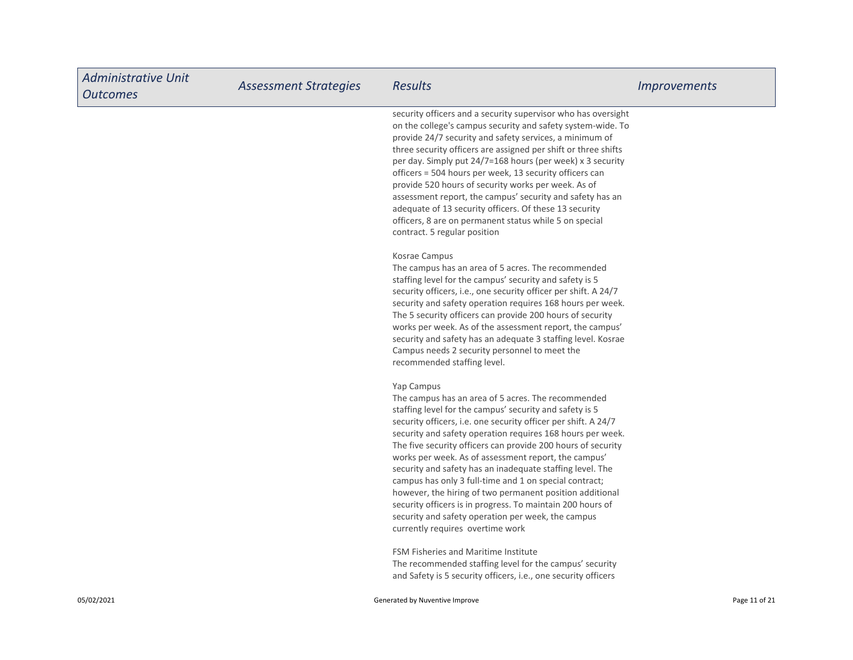| <b>Administrative Unit</b><br><b>Outcomes</b> | <b>Assessment Strategies</b> | <b>Results</b>                                                                                                                                                                                                                                                                                                                                                                                                                                                                                                                                                                                                                                                                                                                 | <i>Improvements</i> |
|-----------------------------------------------|------------------------------|--------------------------------------------------------------------------------------------------------------------------------------------------------------------------------------------------------------------------------------------------------------------------------------------------------------------------------------------------------------------------------------------------------------------------------------------------------------------------------------------------------------------------------------------------------------------------------------------------------------------------------------------------------------------------------------------------------------------------------|---------------------|
|                                               |                              | security officers and a security supervisor who has oversight<br>on the college's campus security and safety system-wide. To<br>provide 24/7 security and safety services, a minimum of<br>three security officers are assigned per shift or three shifts<br>per day. Simply put 24/7=168 hours (per week) x 3 security<br>officers = 504 hours per week, 13 security officers can<br>provide 520 hours of security works per week. As of<br>assessment report, the campus' security and safety has an<br>adequate of 13 security officers. Of these 13 security<br>officers, 8 are on permanent status while 5 on special<br>contract. 5 regular position                                                                     |                     |
|                                               |                              | Kosrae Campus<br>The campus has an area of 5 acres. The recommended<br>staffing level for the campus' security and safety is 5<br>security officers, i.e., one security officer per shift. A 24/7<br>security and safety operation requires 168 hours per week.<br>The 5 security officers can provide 200 hours of security<br>works per week. As of the assessment report, the campus'<br>security and safety has an adequate 3 staffing level. Kosrae<br>Campus needs 2 security personnel to meet the<br>recommended staffing level.                                                                                                                                                                                       |                     |
|                                               |                              | Yap Campus<br>The campus has an area of 5 acres. The recommended<br>staffing level for the campus' security and safety is 5<br>security officers, i.e. one security officer per shift. A 24/7<br>security and safety operation requires 168 hours per week.<br>The five security officers can provide 200 hours of security<br>works per week. As of assessment report, the campus'<br>security and safety has an inadequate staffing level. The<br>campus has only 3 full-time and 1 on special contract;<br>however, the hiring of two permanent position additional<br>security officers is in progress. To maintain 200 hours of<br>security and safety operation per week, the campus<br>currently requires overtime work |                     |
|                                               |                              | FSM Fisheries and Maritime Institute<br>The recommended staffing level for the campus' security<br>and Safety is 5 security officers, i.e., one security officers                                                                                                                                                                                                                                                                                                                                                                                                                                                                                                                                                              |                     |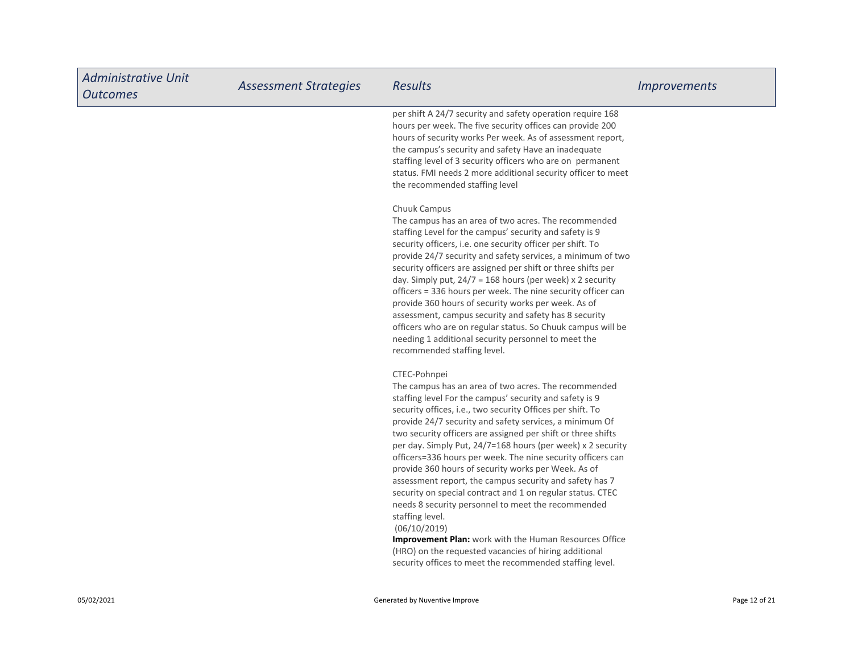| <b>Administrative Unit</b><br><b>Outcomes</b> | <b>Assessment Strategies</b> | <b>Results</b>                                                                                                                                                                                                                                                                                                                                                                                                                                                                                                                                                                                                                                                                                                                                                                                                                                                                                                 | <i>Improvements</i> |
|-----------------------------------------------|------------------------------|----------------------------------------------------------------------------------------------------------------------------------------------------------------------------------------------------------------------------------------------------------------------------------------------------------------------------------------------------------------------------------------------------------------------------------------------------------------------------------------------------------------------------------------------------------------------------------------------------------------------------------------------------------------------------------------------------------------------------------------------------------------------------------------------------------------------------------------------------------------------------------------------------------------|---------------------|
|                                               |                              | per shift A 24/7 security and safety operation require 168<br>hours per week. The five security offices can provide 200<br>hours of security works Per week. As of assessment report,<br>the campus's security and safety Have an inadequate<br>staffing level of 3 security officers who are on permanent<br>status. FMI needs 2 more additional security officer to meet<br>the recommended staffing level                                                                                                                                                                                                                                                                                                                                                                                                                                                                                                   |                     |
|                                               |                              | Chuuk Campus<br>The campus has an area of two acres. The recommended<br>staffing Level for the campus' security and safety is 9<br>security officers, i.e. one security officer per shift. To<br>provide 24/7 security and safety services, a minimum of two<br>security officers are assigned per shift or three shifts per<br>day. Simply put, $24/7 = 168$ hours (per week) x 2 security<br>officers = 336 hours per week. The nine security officer can<br>provide 360 hours of security works per week. As of<br>assessment, campus security and safety has 8 security<br>officers who are on regular status. So Chuuk campus will be<br>needing 1 additional security personnel to meet the<br>recommended staffing level.                                                                                                                                                                               |                     |
|                                               |                              | CTEC-Pohnpei<br>The campus has an area of two acres. The recommended<br>staffing level For the campus' security and safety is 9<br>security offices, i.e., two security Offices per shift. To<br>provide 24/7 security and safety services, a minimum Of<br>two security officers are assigned per shift or three shifts<br>per day. Simply Put, 24/7=168 hours (per week) x 2 security<br>officers=336 hours per week. The nine security officers can<br>provide 360 hours of security works per Week. As of<br>assessment report, the campus security and safety has 7<br>security on special contract and 1 on regular status. CTEC<br>needs 8 security personnel to meet the recommended<br>staffing level.<br>(06/10/2019)<br>Improvement Plan: work with the Human Resources Office<br>(HRO) on the requested vacancies of hiring additional<br>security offices to meet the recommended staffing level. |                     |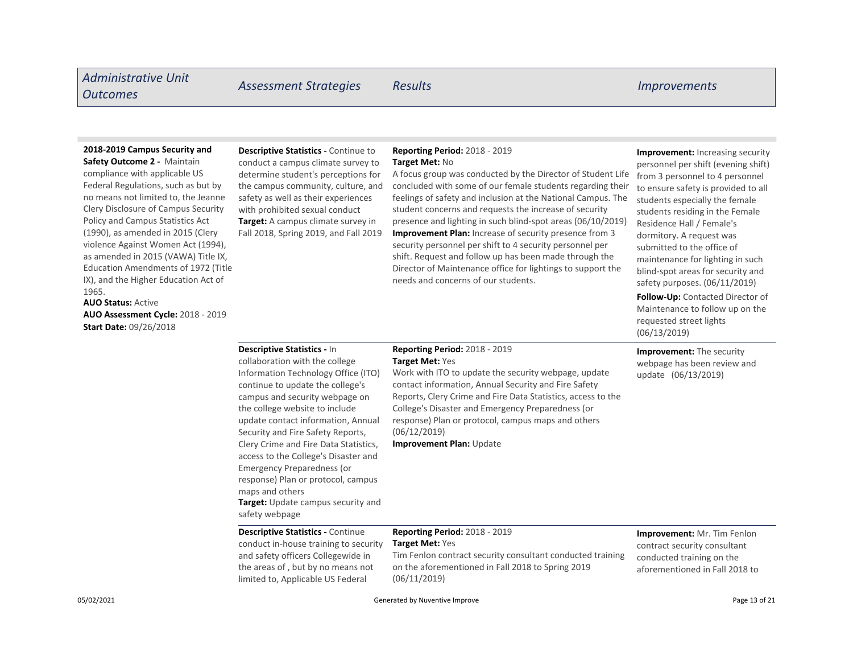# Administrative Unit Outcomes Assessment Strategies Results Improvements

### 2018-2019 Campus Security and

Safety Outcome 2 - Maintain compliance with applicable US Federal Regulations, such as but by no means not limited to, the Jeanne Clery Disclosure of Campus Security Policy and Campus Statistics Act (1990), as amended in 2015 (Clery violence Against Women Act (1994), as amended in 2015 (VAWA) Title IX, Education Amendments of 1972 (Title IX), and the Higher Education Act of 1965.

AUO Status: Active AUO Assessment Cycle: 2018 - 2019 Start Date: 09/26/2018

Target: A campus climate survey in Descriptive Statistics - Continue to conduct a campus climate survey to determine student's perceptions for the campus community, culture, and safety as well as their experiences with prohibited sexual conduct

### Reporting Period: 2018 - 2019 Target Met: No

Fall 2018, Spring 2019, and Fall 2019 Improvement Plan: Increase of security presence from 3 security personnel per shift to 4 security personnel per shift. Request and follow up has been made through the Director of Maintenance office for lightings to support the needs and concerns of our students. A focus group was conducted by the Director of Student Life concluded with some of our female students regarding their feelings of safety and inclusion at the National Campus. The student concerns and requests the increase of security presence and lighting in such blind-spot areas (06/10/2019)

Improvement: Increasing security personnel per shift (evening shift) from 3 personnel to 4 personnel to ensure safety is provided to all students especially the female students residing in the Female Residence Hall / Female's dormitory. A request was submitted to the office of maintenance for lighting in such blind-spot areas for security and safety purposes. (06/11/2019)

Follow-Up: Contacted Director of Maintenance to follow up on the requested street lights (06/13/2019)

Improvement: The security webpage has been review and update (06/13/2019)

#### Descriptive Statistics - In

Target: Update campus security and safety webpage collaboration with the college Information Technology Office (ITO) continue to update the college's campus and security webpage on the college website to include update contact information, Annual Security and Fire Safety Reports, Clery Crime and Fire Data Statistics, access to the College's Disaster and Emergency Preparedness (or response) Plan or protocol, campus maps and others

limited to, Applicable US Federal

### Reporting Period: 2018 - 2019 Target Met: Yes

Work with ITO to update the security webpage, update contact information, Annual Security and Fire Safety Reports, Clery Crime and Fire Data Statistics, access to the College's Disaster and Emergency Preparedness (or response) Plan or protocol, campus maps and others (06/12/2019)

Improvement Plan: Update

### Descriptive Statistics - Continue conduct in-house training to security and safety officers Collegewide in the areas of , but by no means not

#### Reporting Period: 2018 - 2019 Target Met: Yes

Tim Fenlon contract security consultant conducted training on the aforementioned in Fall 2018 to Spring 2019 (06/11/2019)

Improvement: Mr. Tim Fenlon contract security consultant conducted training on the aforementioned in Fall 2018 to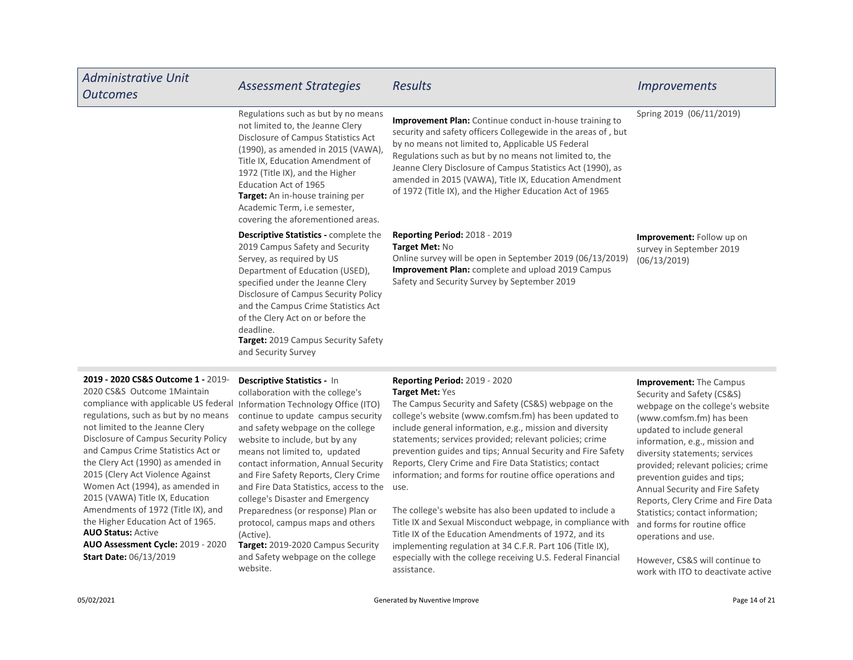| <b>Administrative Unit</b><br><b>Outcomes</b> | <b>Assessment Strategies</b>                                                                                                                                                                                                                                                                                                                                                              | <b>Results</b>                                                                                                                                                                                                                                                                                                                                                                                                                      | <i>Improvements</i>                                                          |
|-----------------------------------------------|-------------------------------------------------------------------------------------------------------------------------------------------------------------------------------------------------------------------------------------------------------------------------------------------------------------------------------------------------------------------------------------------|-------------------------------------------------------------------------------------------------------------------------------------------------------------------------------------------------------------------------------------------------------------------------------------------------------------------------------------------------------------------------------------------------------------------------------------|------------------------------------------------------------------------------|
|                                               | Regulations such as but by no means<br>not limited to, the Jeanne Clery<br>Disclosure of Campus Statistics Act<br>(1990), as amended in 2015 (VAWA),<br>Title IX, Education Amendment of<br>1972 (Title IX), and the Higher<br>Education Act of 1965<br><b>Target:</b> An in-house training per<br>Academic Term, i.e semester,<br>covering the aforementioned areas.                     | <b>Improvement Plan:</b> Continue conduct in-house training to<br>security and safety officers Collegewide in the areas of, but<br>by no means not limited to, Applicable US Federal<br>Regulations such as but by no means not limited to, the<br>Jeanne Clery Disclosure of Campus Statistics Act (1990), as<br>amended in 2015 (VAWA), Title IX, Education Amendment<br>of 1972 (Title IX), and the Higher Education Act of 1965 | Spring 2019 (06/11/2019)                                                     |
|                                               | <b>Descriptive Statistics - complete the</b><br>2019 Campus Safety and Security<br>Servey, as required by US<br>Department of Education (USED),<br>specified under the Jeanne Clery<br>Disclosure of Campus Security Policy<br>and the Campus Crime Statistics Act<br>of the Clery Act on or before the<br>deadline.<br><b>Target:</b> 2019 Campus Security Safety<br>and Security Survey | <b>Reporting Period: 2018 - 2019</b><br>Target Met: No<br>Online survey will be open in September 2019 (06/13/2019)<br><b>Improvement Plan:</b> complete and upload 2019 Campus<br>Safety and Security Survey by September 2019                                                                                                                                                                                                     | <b>Improvement:</b> Follow up on<br>survey in September 2019<br>(06/13/2019) |

2019 - 2020 CS&S Outcome 1 - 2019-

AUO Status: Active AUO Assessment Cycle: 2019 - 2020 2020 CS&S Outcome 1Maintain compliance with applicable US federal regulations, such as but by no means not limited to the Jeanne Clery Disclosure of Campus Security Policy and Campus Crime Statistics Act or the Clery Act (1990) as amended in 2015 (Clery Act Violence Against Women Act (1994), as amended in 2015 (VAWA) Title IX, Education Amendments of 1972 (Title IX), and the Higher Education Act of 1965. Start Date: 06/13/2019

Target: 2019-2020 Campus Security and Fire Data Statistics, access to the use. Descriptive Statistics - In collaboration with the college's Information Technology Office (ITO) continue to update campus security and safety webpage on the college website to include, but by any means not limited to, updated contact information, Annual Security and Fire Safety Reports, Clery Crime college's Disaster and Emergency Preparedness (or response) Plan or protocol, campus maps and others (Active).

and Safety webpage on the college website.

#### Reporting Period: 2019 - 2020 Target Met: Yes

The Campus Security and Safety (CS&S) webpage on the college's website (www.comfsm.fm) has been updated to include general information, e.g., mission and diversity statements; services provided; relevant policies; crime prevention guides and tips; Annual Security and Fire Safety Reports, Clery Crime and Fire Data Statistics; contact information; and forms for routine office operations and

The college's website has also been updated to include a Title IX and Sexual Misconduct webpage, in compliance with Title IX of the Education Amendments of 1972, and its implementing regulation at 34 C.F.R. Part 106 (Title IX), especially with the college receiving U.S. Federal Financial assistance.

Improvement: The Campus Security and Safety (CS&S) webpage on the college's website (www.comfsm.fm) has been updated to include general information, e.g., mission and diversity statements; services provided; relevant policies; crime prevention guides and tips; Annual Security and Fire Safety Reports, Clery Crime and Fire Data Statistics; contact information; and forms for routine office operations and use.

However, CS&S will continue to work with ITO to deactivate active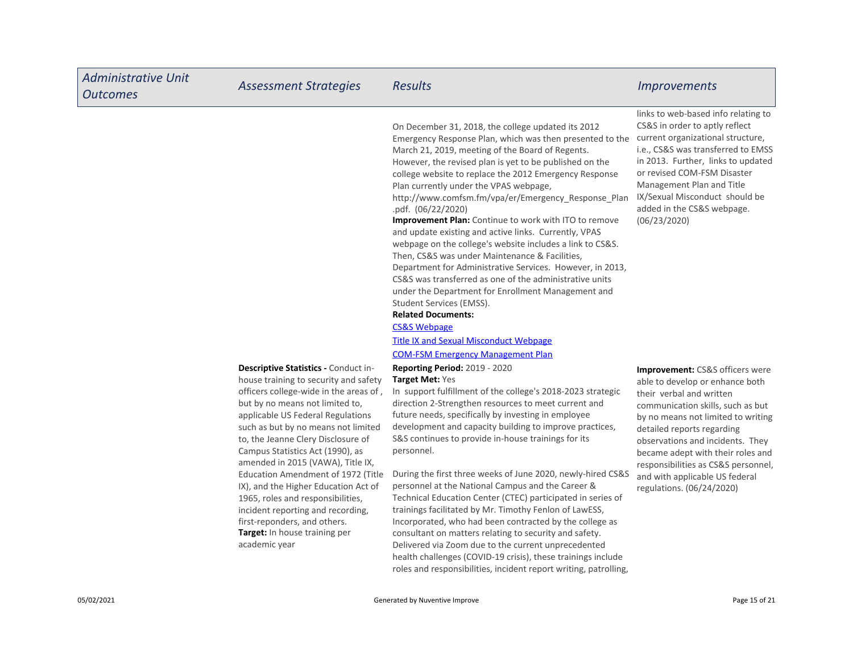| <b>Administrative Unit</b><br><b>Outcomes</b> | <b>Assessment Strategies</b>                                                                                                                                                                                                                                                                                                                                                                                                                                                                                                                                                                    | <b>Results</b>                                                                                                                                                                                                                                                                                                                                                                                                                                                                                                                                                                                                                                                                                                                                                                                                                                                                                                                                                                                                        | <b>Improvements</b>                                                                                                                                                                                                                                                                                                                                                                               |
|-----------------------------------------------|-------------------------------------------------------------------------------------------------------------------------------------------------------------------------------------------------------------------------------------------------------------------------------------------------------------------------------------------------------------------------------------------------------------------------------------------------------------------------------------------------------------------------------------------------------------------------------------------------|-----------------------------------------------------------------------------------------------------------------------------------------------------------------------------------------------------------------------------------------------------------------------------------------------------------------------------------------------------------------------------------------------------------------------------------------------------------------------------------------------------------------------------------------------------------------------------------------------------------------------------------------------------------------------------------------------------------------------------------------------------------------------------------------------------------------------------------------------------------------------------------------------------------------------------------------------------------------------------------------------------------------------|---------------------------------------------------------------------------------------------------------------------------------------------------------------------------------------------------------------------------------------------------------------------------------------------------------------------------------------------------------------------------------------------------|
|                                               |                                                                                                                                                                                                                                                                                                                                                                                                                                                                                                                                                                                                 | On December 31, 2018, the college updated its 2012<br>Emergency Response Plan, which was then presented to the<br>March 21, 2019, meeting of the Board of Regents.<br>However, the revised plan is yet to be published on the<br>college website to replace the 2012 Emergency Response<br>Plan currently under the VPAS webpage,<br>http://www.comfsm.fm/vpa/er/Emergency_Response_Plan<br>.pdf. (06/22/2020)<br><b>Improvement Plan:</b> Continue to work with ITO to remove<br>and update existing and active links. Currently, VPAS<br>webpage on the college's website includes a link to CS&S.<br>Then, CS&S was under Maintenance & Facilities,<br>Department for Administrative Services. However, in 2013,<br>CS&S was transferred as one of the administrative units<br>under the Department for Enrollment Management and<br>Student Services (EMSS).<br><b>Related Documents:</b><br><b>CS&amp;S Webpage</b><br><b>Title IX and Sexual Misconduct Webpage</b><br><b>COM-FSM Emergency Management Plan</b> | links to web-based info relating to<br>CS&S in order to aptly reflect<br>current organizational structure,<br>i.e., CS&S was transferred to EMSS<br>in 2013. Further, links to updated<br>or revised COM-FSM Disaster<br>Management Plan and Title<br>IX/Sexual Misconduct should be<br>added in the CS&S webpage.<br>(06/23/2020)                                                                |
|                                               | Descriptive Statistics - Conduct in-<br>house training to security and safety<br>officers college-wide in the areas of,<br>but by no means not limited to,<br>applicable US Federal Regulations<br>such as but by no means not limited<br>to, the Jeanne Clery Disclosure of<br>Campus Statistics Act (1990), as<br>amended in 2015 (VAWA), Title IX,<br>Education Amendment of 1972 (Title<br>IX), and the Higher Education Act of<br>1965, roles and responsibilities,<br>incident reporting and recording,<br>first-reponders, and others.<br>Target: In house training per<br>academic year | Reporting Period: 2019 - 2020<br>Target Met: Yes<br>In support fulfillment of the college's 2018-2023 strategic<br>direction 2-Strengthen resources to meet current and<br>future needs, specifically by investing in employee<br>development and capacity building to improve practices,<br>S&S continues to provide in-house trainings for its<br>personnel.<br>During the first three weeks of June 2020, newly-hired CS&S<br>personnel at the National Campus and the Career &<br>Technical Education Center (CTEC) participated in series of<br>trainings facilitated by Mr. Timothy Fenlon of LawESS,<br>Incorporated, who had been contracted by the college as<br>consultant on matters relating to security and safety.<br>Delivered via Zoom due to the current unprecedented<br>health challenges (COVID-19 crisis), these trainings include<br>roles and responsibilities, incident report writing, patrolling,                                                                                           | <b>Improvement: CS&amp;S officers were</b><br>able to develop or enhance both<br>their verbal and written<br>communication skills, such as but<br>by no means not limited to writing<br>detailed reports regarding<br>observations and incidents. They<br>became adept with their roles and<br>responsibilities as CS&S personnel,<br>and with applicable US federal<br>regulations. (06/24/2020) |
| 05/02/2021                                    |                                                                                                                                                                                                                                                                                                                                                                                                                                                                                                                                                                                                 | Generated by Nuventive Improve                                                                                                                                                                                                                                                                                                                                                                                                                                                                                                                                                                                                                                                                                                                                                                                                                                                                                                                                                                                        | Page 15 of 21                                                                                                                                                                                                                                                                                                                                                                                     |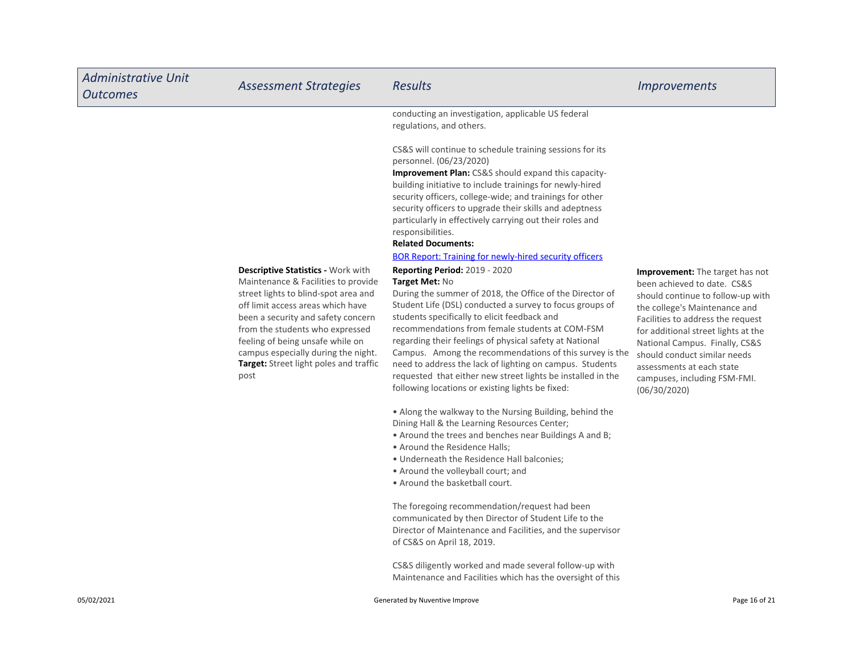| <b>Administrative Unit</b><br><b>Outcomes</b> | <b>Assessment Strategies</b>                                                                                                                                                                                                                                                                                                                                 | <b>Results</b>                                                                                                                                                                                                                                                                                                                                                                                                                                                                                                                                                                         | <i><u><b>Improvements</b></u></i>                                                                                                                                                                                                                                                                                                                               |
|-----------------------------------------------|--------------------------------------------------------------------------------------------------------------------------------------------------------------------------------------------------------------------------------------------------------------------------------------------------------------------------------------------------------------|----------------------------------------------------------------------------------------------------------------------------------------------------------------------------------------------------------------------------------------------------------------------------------------------------------------------------------------------------------------------------------------------------------------------------------------------------------------------------------------------------------------------------------------------------------------------------------------|-----------------------------------------------------------------------------------------------------------------------------------------------------------------------------------------------------------------------------------------------------------------------------------------------------------------------------------------------------------------|
|                                               |                                                                                                                                                                                                                                                                                                                                                              | conducting an investigation, applicable US federal<br>regulations, and others.                                                                                                                                                                                                                                                                                                                                                                                                                                                                                                         |                                                                                                                                                                                                                                                                                                                                                                 |
|                                               |                                                                                                                                                                                                                                                                                                                                                              | CS&S will continue to schedule training sessions for its<br>personnel. (06/23/2020)<br>Improvement Plan: CS&S should expand this capacity-<br>building initiative to include trainings for newly-hired<br>security officers, college-wide; and trainings for other<br>security officers to upgrade their skills and adeptness<br>particularly in effectively carrying out their roles and<br>responsibilities.<br><b>Related Documents:</b><br><b>BOR Report: Training for newly-hired security officers</b>                                                                           |                                                                                                                                                                                                                                                                                                                                                                 |
|                                               | Descriptive Statistics - Work with<br>Maintenance & Facilities to provide<br>street lights to blind-spot area and<br>off limit access areas which have<br>been a security and safety concern<br>from the students who expressed<br>feeling of being unsafe while on<br>campus especially during the night.<br>Target: Street light poles and traffic<br>post | <b>Reporting Period: 2019 - 2020</b><br>Target Met: No<br>During the summer of 2018, the Office of the Director of<br>Student Life (DSL) conducted a survey to focus groups of<br>students specifically to elicit feedback and<br>recommendations from female students at COM-FSM<br>regarding their feelings of physical safety at National<br>Campus. Among the recommendations of this survey is the<br>need to address the lack of lighting on campus. Students<br>requested that either new street lights be installed in the<br>following locations or existing lights be fixed: | Improvement: The target has not<br>been achieved to date. CS&S<br>should continue to follow-up with<br>the college's Maintenance and<br>Facilities to address the request<br>for additional street lights at the<br>National Campus. Finally, CS&S<br>should conduct similar needs<br>assessments at each state<br>campuses, including FSM-FMI.<br>(06/30/2020) |
|                                               |                                                                                                                                                                                                                                                                                                                                                              | . Along the walkway to the Nursing Building, behind the<br>Dining Hall & the Learning Resources Center;<br>• Around the trees and benches near Buildings A and B;<br>• Around the Residence Halls:<br>. Underneath the Residence Hall balconies;<br>• Around the volleyball court; and<br>. Around the basketball court.                                                                                                                                                                                                                                                               |                                                                                                                                                                                                                                                                                                                                                                 |
|                                               |                                                                                                                                                                                                                                                                                                                                                              | The foregoing recommendation/request had been<br>communicated by then Director of Student Life to the<br>Director of Maintenance and Facilities, and the supervisor                                                                                                                                                                                                                                                                                                                                                                                                                    |                                                                                                                                                                                                                                                                                                                                                                 |

of CS&S on April 18, 2019.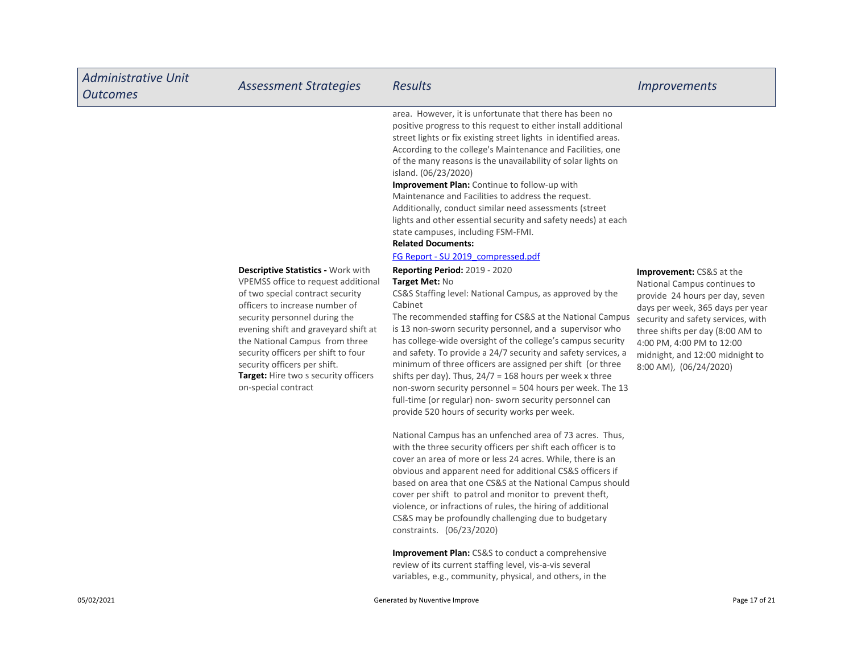| <b>Administrative Unit</b><br><b>Outcomes</b> | <b>Assessment Strategies</b>                                                                                                                                                                                                                                                                                                                                                                            | <b>Results</b>                                                                                                                                                                                                                                                                                                                                                                                                                                                                                                                                                                                                                                                                                | <i><u><b>Improvements</b></u></i>                                                                                                                                                                                                                                                                   |
|-----------------------------------------------|---------------------------------------------------------------------------------------------------------------------------------------------------------------------------------------------------------------------------------------------------------------------------------------------------------------------------------------------------------------------------------------------------------|-----------------------------------------------------------------------------------------------------------------------------------------------------------------------------------------------------------------------------------------------------------------------------------------------------------------------------------------------------------------------------------------------------------------------------------------------------------------------------------------------------------------------------------------------------------------------------------------------------------------------------------------------------------------------------------------------|-----------------------------------------------------------------------------------------------------------------------------------------------------------------------------------------------------------------------------------------------------------------------------------------------------|
|                                               |                                                                                                                                                                                                                                                                                                                                                                                                         | area. However, it is unfortunate that there has been no<br>positive progress to this request to either install additional<br>street lights or fix existing street lights in identified areas.<br>According to the college's Maintenance and Facilities, one<br>of the many reasons is the unavailability of solar lights on<br>island. (06/23/2020)<br>Improvement Plan: Continue to follow-up with<br>Maintenance and Facilities to address the request.<br>Additionally, conduct similar need assessments (street<br>lights and other essential security and safety needs) at each<br>state campuses, including FSM-FMI.<br><b>Related Documents:</b><br>FG Report - SU 2019 compressed.pdf |                                                                                                                                                                                                                                                                                                     |
|                                               | <b>Descriptive Statistics - Work with</b><br>VPEMSS office to request additional<br>of two special contract security<br>officers to increase number of<br>security personnel during the<br>evening shift and graveyard shift at<br>the National Campus from three<br>security officers per shift to four<br>security officers per shift.<br>Target: Hire two s security officers<br>on-special contract | <b>Reporting Period: 2019 - 2020</b><br>Target Met: No<br>CS&S Staffing level: National Campus, as approved by the<br>Cabinet<br>The recommended staffing for CS&S at the National Campus<br>is 13 non-sworn security personnel, and a supervisor who<br>has college-wide oversight of the college's campus security<br>and safety. To provide a 24/7 security and safety services, a<br>minimum of three officers are assigned per shift (or three<br>shifts per day). Thus, $24/7 = 168$ hours per week x three<br>non-sworn security personnel = 504 hours per week. The 13<br>full-time (or regular) non-sworn security personnel can<br>provide 520 hours of security works per week.    | Improvement: CS&S at the<br>National Campus continues to<br>provide 24 hours per day, seven<br>days per week, 365 days per year<br>security and safety services, with<br>three shifts per day (8:00 AM to<br>4:00 PM, 4:00 PM to 12:00<br>midnight, and 12:00 midnight to<br>8:00 AM), (06/24/2020) |
|                                               |                                                                                                                                                                                                                                                                                                                                                                                                         | National Campus has an unfenched area of 73 acres. Thus,<br>with the three security officers per shift each officer is to<br>cover an area of more or less 24 acres. While, there is an<br>obvious and apparent need for additional CS&S officers if<br>based on area that one CS&S at the National Campus should<br>cover per shift to patrol and monitor to prevent theft,<br>violence, or infractions of rules, the hiring of additional<br>CS&S may be profoundly challenging due to budgetary                                                                                                                                                                                            |                                                                                                                                                                                                                                                                                                     |

Improvement Plan: CS&S to conduct a comprehensive review of its current staffing level, vis-a-vis several variables, e.g., community, physical, and others, in the

constraints. (06/23/2020)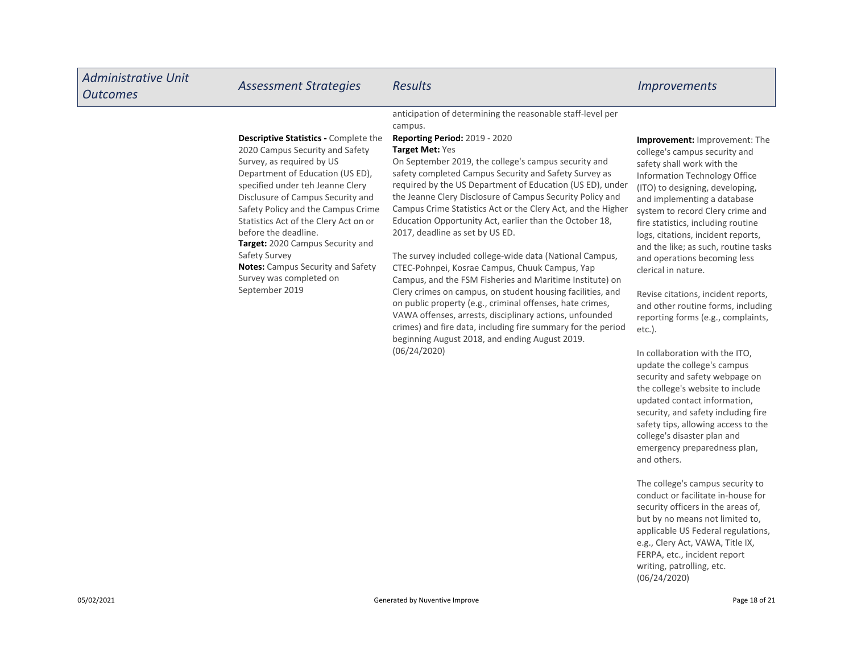| <b>Administrative Unit</b><br><b>Outcomes</b> | <b>Assessment Strategies</b>                                                                                                                                                                                                                                                                                                                                                                                                                                                   | <b>Results</b>                                                                                                                                                                                                                                                                                                                                                                                                                                                                                                                                                                                                                                                                                                                                                                                                                                                                                                                                                                                                                             | <i><u><b>Improvements</b></u></i>                                                                                                                                                                                                                                                                                                                                                                                                                                                                                                                                                                                                                                                                                                                                                                                                         |
|-----------------------------------------------|--------------------------------------------------------------------------------------------------------------------------------------------------------------------------------------------------------------------------------------------------------------------------------------------------------------------------------------------------------------------------------------------------------------------------------------------------------------------------------|--------------------------------------------------------------------------------------------------------------------------------------------------------------------------------------------------------------------------------------------------------------------------------------------------------------------------------------------------------------------------------------------------------------------------------------------------------------------------------------------------------------------------------------------------------------------------------------------------------------------------------------------------------------------------------------------------------------------------------------------------------------------------------------------------------------------------------------------------------------------------------------------------------------------------------------------------------------------------------------------------------------------------------------------|-------------------------------------------------------------------------------------------------------------------------------------------------------------------------------------------------------------------------------------------------------------------------------------------------------------------------------------------------------------------------------------------------------------------------------------------------------------------------------------------------------------------------------------------------------------------------------------------------------------------------------------------------------------------------------------------------------------------------------------------------------------------------------------------------------------------------------------------|
|                                               | <b>Descriptive Statistics - Complete the</b><br>2020 Campus Security and Safety<br>Survey, as required by US<br>Department of Education (US ED),<br>specified under teh Jeanne Clery<br>Disclusure of Campus Security and<br>Safety Policy and the Campus Crime<br>Statistics Act of the Clery Act on or<br>before the deadline.<br>Target: 2020 Campus Security and<br>Safety Survey<br><b>Notes:</b> Campus Security and Safety<br>Survey was completed on<br>September 2019 | anticipation of determining the reasonable staff-level per<br>campus.<br><b>Reporting Period: 2019 - 2020</b><br>Target Met: Yes<br>On September 2019, the college's campus security and<br>safety completed Campus Security and Safety Survey as<br>required by the US Department of Education (US ED), under<br>the Jeanne Clery Disclosure of Campus Security Policy and<br>Campus Crime Statistics Act or the Clery Act, and the Higher<br>Education Opportunity Act, earlier than the October 18,<br>2017, deadline as set by US ED.<br>The survey included college-wide data (National Campus,<br>CTEC-Pohnpei, Kosrae Campus, Chuuk Campus, Yap<br>Campus, and the FSM Fisheries and Maritime Institute) on<br>Clery crimes on campus, on student housing facilities, and<br>on public property (e.g., criminal offenses, hate crimes,<br>VAWA offenses, arrests, disciplinary actions, unfounded<br>crimes) and fire data, including fire summary for the period<br>beginning August 2018, and ending August 2019.<br>(06/24/2020) | Improvement: Improvement: The<br>college's campus security and<br>safety shall work with the<br><b>Information Technology Office</b><br>(ITO) to designing, developing,<br>and implementing a database<br>system to record Clery crime and<br>fire statistics, including routine<br>logs, citations, incident reports,<br>and the like; as such, routine tasks<br>and operations becoming less<br>clerical in nature.<br>Revise citations, incident reports,<br>and other routine forms, including<br>reporting forms (e.g., complaints,<br>$etc.$ ).<br>In collaboration with the ITO,<br>update the college's campus<br>security and safety webpage on<br>the college's website to include<br>updated contact information,<br>security, and safety including fire<br>safety tips, allowing access to the<br>college's disaster plan and |
|                                               |                                                                                                                                                                                                                                                                                                                                                                                                                                                                                |                                                                                                                                                                                                                                                                                                                                                                                                                                                                                                                                                                                                                                                                                                                                                                                                                                                                                                                                                                                                                                            | emergency preparedness plan,<br>and others.                                                                                                                                                                                                                                                                                                                                                                                                                                                                                                                                                                                                                                                                                                                                                                                               |

The college's campus security to conduct or facilitate in-house for security officers in the areas of, but by no means not limited to, applicable US Federal regulations, e.g., Clery Act, VAWA, Title IX, FERPA, etc., incident report writing, patrolling, etc. (06/24/2020)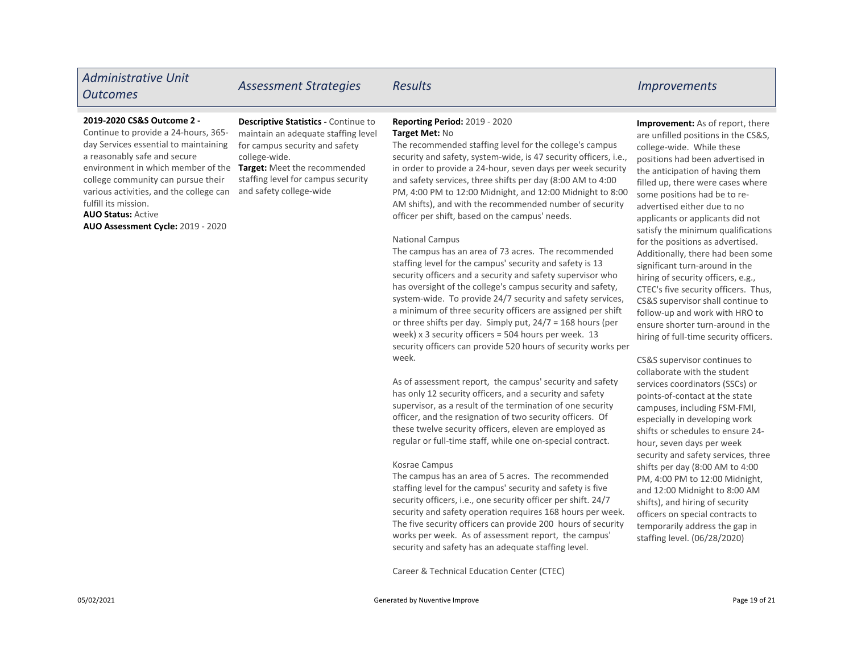# Administrative Unit nummistrative online and Assessment Strategies Results and the control of the Improvements and Assessment Strategies Results and the Improvements

#### 2019-2020 CS&S Outcome 2 -

Continue to provide a 24-hours, 365 day Services essential to maintaining a reasonably safe and secure environment in which member of the college community can pursue their various activities, and the college can fulfill its mission.

#### AUO Status: Active

AUO Assessment Cycle: 2019 - 2020

Descriptive Statistics - Continue to maintain an adequate staffing level for campus security and safety college-wide.

Target: Meet the recommended staffing level for campus security and safety college-wide

### Reporting Period: 2019 - 2020 Target Met: No

The recommended staffing level for the college's campus security and safety, system-wide, is 47 security officers, i.e., in order to provide a 24-hour, seven days per week security and safety services, three shifts per day (8:00 AM to 4:00 PM, 4:00 PM to 12:00 Midnight, and 12:00 Midnight to 8:00 AM shifts), and with the recommended number of security officer per shift, based on the campus' needs.

#### National Campus

The campus has an area of 73 acres. The recommended staffing level for the campus' security and safety is 13 security officers and a security and safety supervisor who has oversight of the college's campus security and safety, system-wide. To provide 24/7 security and safety services, a minimum of three security officers are assigned per shift or three shifts per day. Simply put, 24/7 = 168 hours (per week) x 3 security officers = 504 hours per week. 13 security officers can provide 520 hours of security works per week.

As of assessment report, the campus' security and safety has only 12 security officers, and a security and safety supervisor, as a result of the termination of one security officer, and the resignation of two security officers. Of these twelve security officers, eleven are employed as regular or full-time staff, while one on-special contract.

#### Kosrae Campus

The campus has an area of 5 acres. The recommended staffing level for the campus' security and safety is five security officers, i.e., one security officer per shift. 24/7 security and safety operation requires 168 hours per week. The five security officers can provide 200 hours of security works per week. As of assessment report, the campus' security and safety has an adequate staffing level.

Career & Technical Education Center (CTEC)

Improvement: As of report, there are unfilled positions in the CS&S, college-wide. While these positions had been advertised in the anticipation of having them filled up, there were cases where some positions had be to readvertised either due to no applicants or applicants did not satisfy the minimum qualifications for the positions as advertised. Additionally, there had been some significant turn-around in the hiring of security officers, e.g., CTEC's five security officers. Thus, CS&S supervisor shall continue to follow-up and work with HRO to ensure shorter turn-around in the hiring of full-time security officers.

CS&S supervisor continues to collaborate with the student services coordinators (SSCs) or points-of-contact at the state campuses, including FSM-FMI, especially in developing work shifts or schedules to ensure 24 hour, seven days per week security and safety services, three shifts per day (8:00 AM to 4:00 PM, 4:00 PM to 12:00 Midnight, and 12:00 Midnight to 8:00 AM shifts), and hiring of security officers on special contracts to temporarily address the gap in staffing level. (06/28/2020)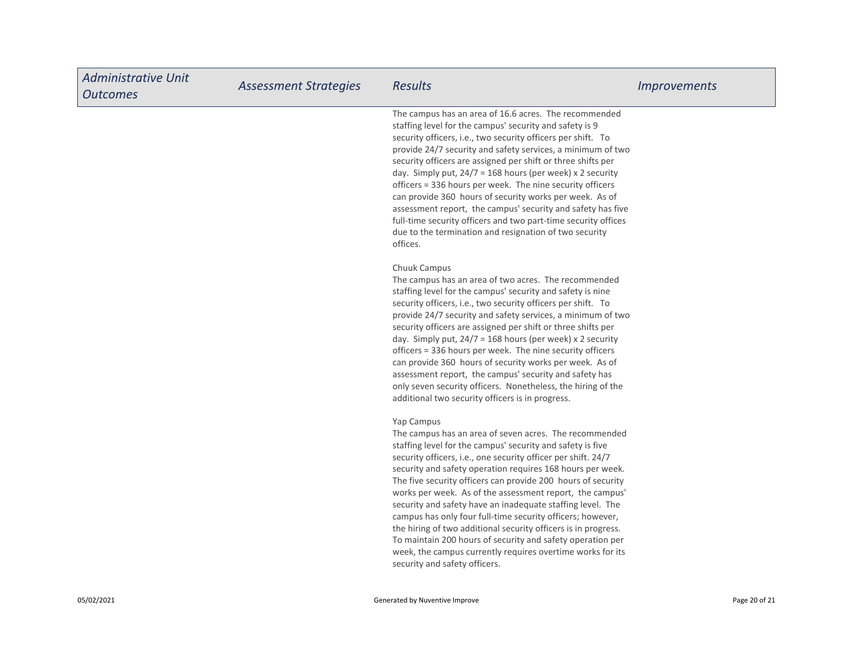| <b>Administrative Unit</b><br><b>Outcomes</b> | <b>Assessment Strategies</b> | <b>Results</b>                                                                                                                                                                                                                                                                                                                                                                                                                                                                                                                                                                                                                                                                                                                                           | <i>Improvements</i> |
|-----------------------------------------------|------------------------------|----------------------------------------------------------------------------------------------------------------------------------------------------------------------------------------------------------------------------------------------------------------------------------------------------------------------------------------------------------------------------------------------------------------------------------------------------------------------------------------------------------------------------------------------------------------------------------------------------------------------------------------------------------------------------------------------------------------------------------------------------------|---------------------|
|                                               |                              | The campus has an area of 16.6 acres. The recommended<br>staffing level for the campus' security and safety is 9<br>security officers, i.e., two security officers per shift. To<br>provide 24/7 security and safety services, a minimum of two<br>security officers are assigned per shift or three shifts per<br>day. Simply put, $24/7 = 168$ hours (per week) x 2 security<br>officers = 336 hours per week. The nine security officers<br>can provide 360 hours of security works per week. As of<br>assessment report, the campus' security and safety has five<br>full-time security officers and two part-time security offices<br>due to the termination and resignation of two security<br>offices.                                            |                     |
|                                               |                              | Chuuk Campus<br>The campus has an area of two acres. The recommended<br>staffing level for the campus' security and safety is nine<br>security officers, i.e., two security officers per shift. To<br>provide 24/7 security and safety services, a minimum of two<br>security officers are assigned per shift or three shifts per<br>day. Simply put, $24/7 = 168$ hours (per week) x 2 security<br>officers = 336 hours per week. The nine security officers<br>can provide 360 hours of security works per week. As of<br>assessment report, the campus' security and safety has<br>only seven security officers. Nonetheless, the hiring of the<br>additional two security officers is in progress.                                                   |                     |
|                                               |                              | Yap Campus<br>The campus has an area of seven acres. The recommended<br>staffing level for the campus' security and safety is five<br>security officers, i.e., one security officer per shift. 24/7<br>security and safety operation requires 168 hours per week.<br>The five security officers can provide 200 hours of security<br>works per week. As of the assessment report, the campus'<br>security and safety have an inadequate staffing level. The<br>campus has only four full-time security officers; however,<br>the hiring of two additional security officers is in progress.<br>To maintain 200 hours of security and safety operation per<br>week, the campus currently requires overtime works for its<br>security and safety officers. |                     |